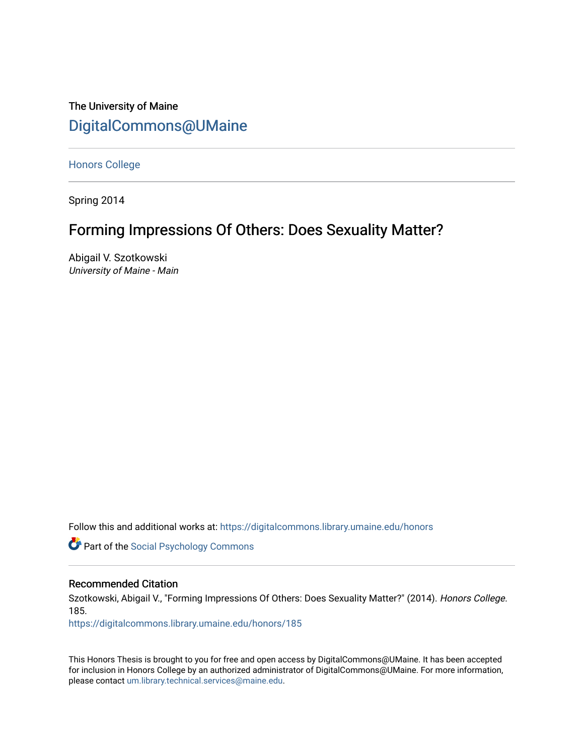The University of Maine [DigitalCommons@UMaine](https://digitalcommons.library.umaine.edu/)

[Honors College](https://digitalcommons.library.umaine.edu/honors)

Spring 2014

# Forming Impressions Of Others: Does Sexuality Matter?

Abigail V. Szotkowski University of Maine - Main

Follow this and additional works at: [https://digitalcommons.library.umaine.edu/honors](https://digitalcommons.library.umaine.edu/honors?utm_source=digitalcommons.library.umaine.edu%2Fhonors%2F185&utm_medium=PDF&utm_campaign=PDFCoverPages) 

**Part of the Social Psychology Commons** 

### Recommended Citation

Szotkowski, Abigail V., "Forming Impressions Of Others: Does Sexuality Matter?" (2014). Honors College. 185.

[https://digitalcommons.library.umaine.edu/honors/185](https://digitalcommons.library.umaine.edu/honors/185?utm_source=digitalcommons.library.umaine.edu%2Fhonors%2F185&utm_medium=PDF&utm_campaign=PDFCoverPages) 

This Honors Thesis is brought to you for free and open access by DigitalCommons@UMaine. It has been accepted for inclusion in Honors College by an authorized administrator of DigitalCommons@UMaine. For more information, please contact [um.library.technical.services@maine.edu.](mailto:um.library.technical.services@maine.edu)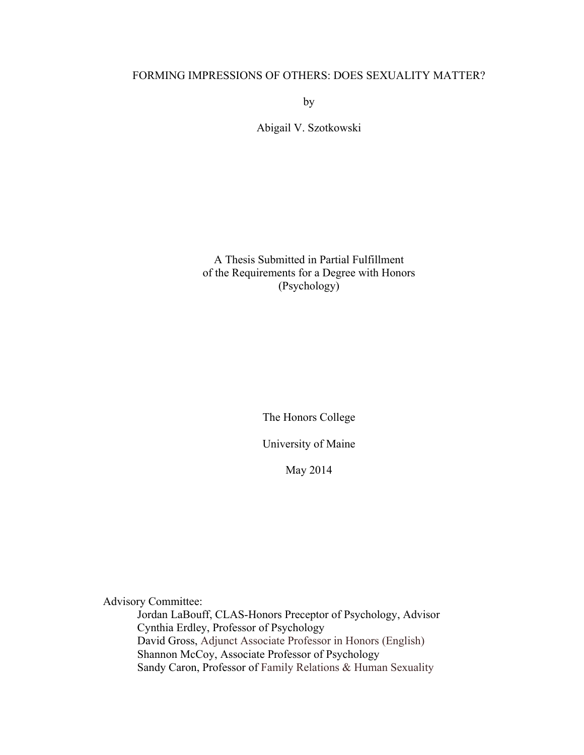# FORMING IMPRESSIONS OF OTHERS: DOES SEXUALITY MATTER?

by

Abigail V. Szotkowski

A Thesis Submitted in Partial Fulfillment of the Requirements for a Degree with Honors (Psychology)

The Honors College

University of Maine

May 2014

Advisory Committee:

Jordan LaBouff, CLAS-Honors Preceptor of Psychology, Advisor Cynthia Erdley, Professor of Psychology David Gross, Adjunct Associate Professor in Honors (English) Shannon McCoy, Associate Professor of Psychology Sandy Caron, Professor of Family Relations & Human Sexuality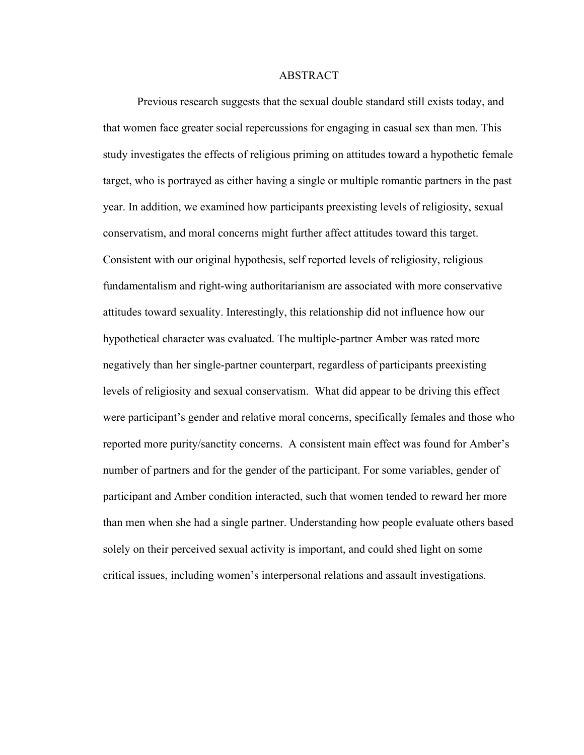#### ABSTRACT

Previous research suggests that the sexual double standard still exists today, and that women face greater social repercussions for engaging in casual sex than men. This study investigates the effects of religious priming on attitudes toward a hypothetic female target, who is portrayed as either having a single or multiple romantic partners in the past year. In addition, we examined how participants preexisting levels of religiosity, sexual conservatism, and moral concerns might further affect attitudes toward this target. Consistent with our original hypothesis, self reported levels of religiosity, religious fundamentalism and right-wing authoritarianism are associated with more conservative attitudes toward sexuality. Interestingly, this relationship did not influence how our hypothetical character was evaluated. The multiple-partner Amber was rated more negatively than her single-partner counterpart, regardless of participants preexisting levels of religiosity and sexual conservatism. What did appear to be driving this effect were participant's gender and relative moral concerns, specifically females and those who reported more purity/sanctity concerns. A consistent main effect was found for Amber's number of partners and for the gender of the participant. For some variables, gender of participant and Amber condition interacted, such that women tended to reward her more than men when she had a single partner. Understanding how people evaluate others based solely on their perceived sexual activity is important, and could shed light on some critical issues, including women's interpersonal relations and assault investigations.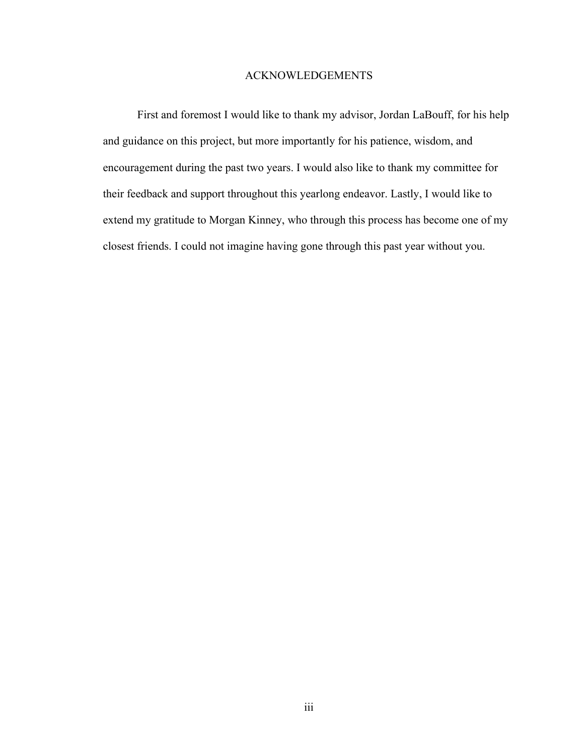# ACKNOWLEDGEMENTS

First and foremost I would like to thank my advisor, Jordan LaBouff, for his help and guidance on this project, but more importantly for his patience, wisdom, and encouragement during the past two years. I would also like to thank my committee for their feedback and support throughout this yearlong endeavor. Lastly, I would like to extend my gratitude to Morgan Kinney, who through this process has become one of my closest friends. I could not imagine having gone through this past year without you.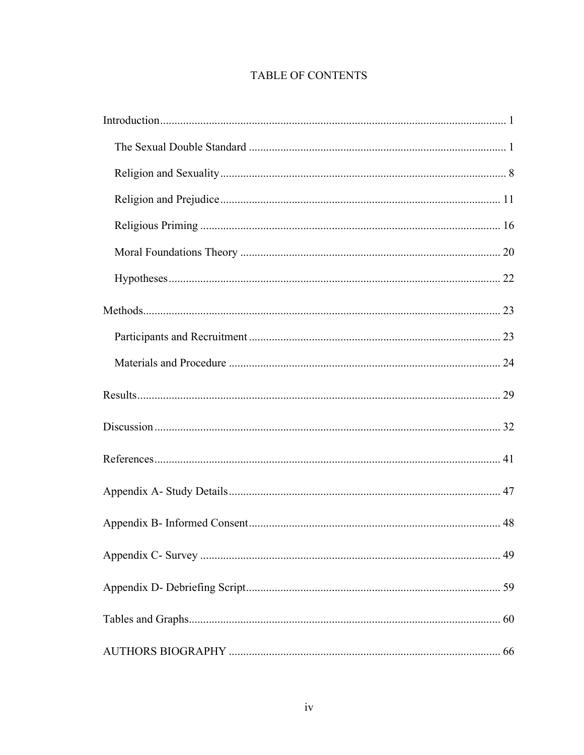# TABLE OF CONTENTS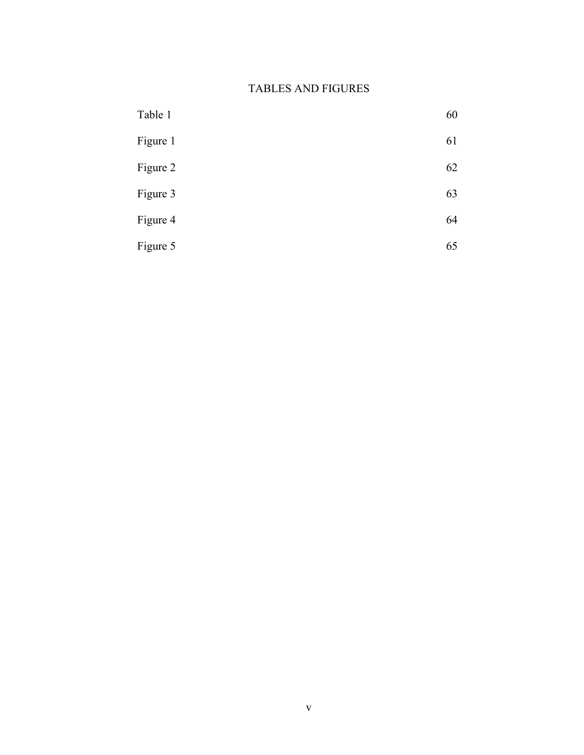# TABLES AND FIGURES

| Table 1  | 60 |
|----------|----|
| Figure 1 | 61 |
| Figure 2 | 62 |
| Figure 3 | 63 |
| Figure 4 | 64 |
| Figure 5 | 65 |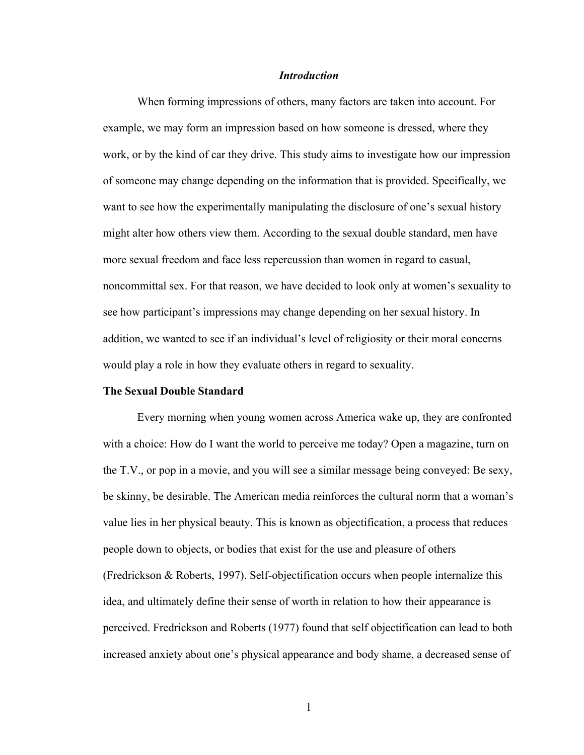#### *Introduction*

When forming impressions of others, many factors are taken into account. For example, we may form an impression based on how someone is dressed, where they work, or by the kind of car they drive. This study aims to investigate how our impression of someone may change depending on the information that is provided. Specifically, we want to see how the experimentally manipulating the disclosure of one's sexual history might alter how others view them. According to the sexual double standard, men have more sexual freedom and face less repercussion than women in regard to casual, noncommittal sex. For that reason, we have decided to look only at women's sexuality to see how participant's impressions may change depending on her sexual history. In addition, we wanted to see if an individual's level of religiosity or their moral concerns would play a role in how they evaluate others in regard to sexuality.

#### **The Sexual Double Standard**

Every morning when young women across America wake up, they are confronted with a choice: How do I want the world to perceive me today? Open a magazine, turn on the T.V., or pop in a movie, and you will see a similar message being conveyed: Be sexy, be skinny, be desirable. The American media reinforces the cultural norm that a woman's value lies in her physical beauty. This is known as objectification, a process that reduces people down to objects, or bodies that exist for the use and pleasure of others (Fredrickson & Roberts, 1997). Self-objectification occurs when people internalize this idea, and ultimately define their sense of worth in relation to how their appearance is perceived. Fredrickson and Roberts (1977) found that self objectification can lead to both increased anxiety about one's physical appearance and body shame, a decreased sense of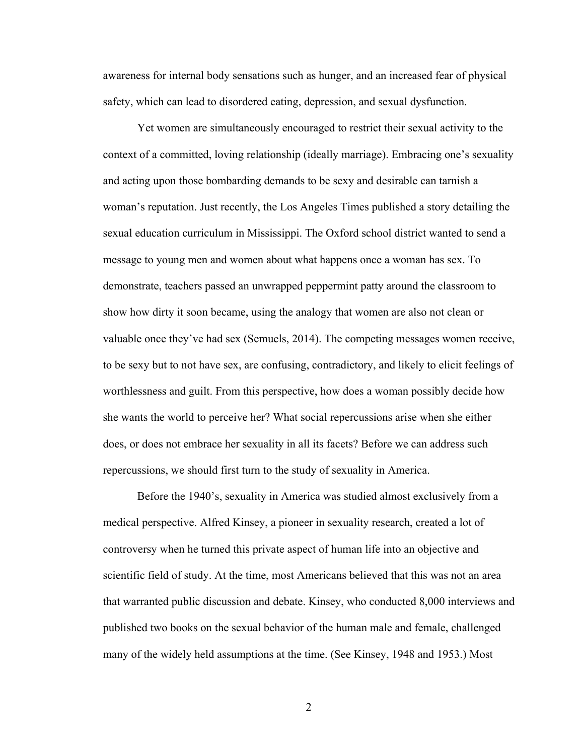awareness for internal body sensations such as hunger, and an increased fear of physical safety, which can lead to disordered eating, depression, and sexual dysfunction.

Yet women are simultaneously encouraged to restrict their sexual activity to the context of a committed, loving relationship (ideally marriage). Embracing one's sexuality and acting upon those bombarding demands to be sexy and desirable can tarnish a woman's reputation. Just recently, the Los Angeles Times published a story detailing the sexual education curriculum in Mississippi. The Oxford school district wanted to send a message to young men and women about what happens once a woman has sex. To demonstrate, teachers passed an unwrapped peppermint patty around the classroom to show how dirty it soon became, using the analogy that women are also not clean or valuable once they've had sex (Semuels, 2014). The competing messages women receive, to be sexy but to not have sex, are confusing, contradictory, and likely to elicit feelings of worthlessness and guilt. From this perspective, how does a woman possibly decide how she wants the world to perceive her? What social repercussions arise when she either does, or does not embrace her sexuality in all its facets? Before we can address such repercussions, we should first turn to the study of sexuality in America.

Before the 1940's, sexuality in America was studied almost exclusively from a medical perspective. Alfred Kinsey, a pioneer in sexuality research, created a lot of controversy when he turned this private aspect of human life into an objective and scientific field of study. At the time, most Americans believed that this was not an area that warranted public discussion and debate. Kinsey, who conducted 8,000 interviews and published two books on the sexual behavior of the human male and female, challenged many of the widely held assumptions at the time. (See Kinsey, 1948 and 1953.) Most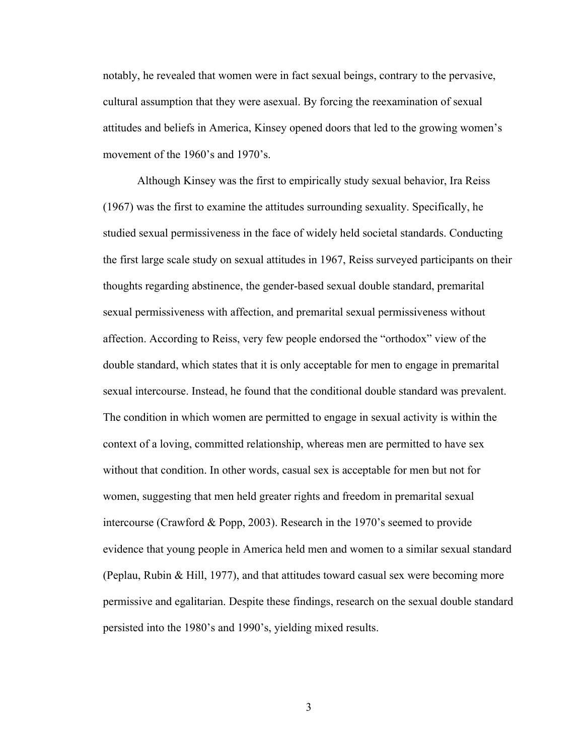notably, he revealed that women were in fact sexual beings, contrary to the pervasive, cultural assumption that they were asexual. By forcing the reexamination of sexual attitudes and beliefs in America, Kinsey opened doors that led to the growing women's movement of the 1960's and 1970's.

Although Kinsey was the first to empirically study sexual behavior, Ira Reiss (1967) was the first to examine the attitudes surrounding sexuality. Specifically, he studied sexual permissiveness in the face of widely held societal standards. Conducting the first large scale study on sexual attitudes in 1967, Reiss surveyed participants on their thoughts regarding abstinence, the gender-based sexual double standard, premarital sexual permissiveness with affection, and premarital sexual permissiveness without affection. According to Reiss, very few people endorsed the "orthodox" view of the double standard, which states that it is only acceptable for men to engage in premarital sexual intercourse. Instead, he found that the conditional double standard was prevalent. The condition in which women are permitted to engage in sexual activity is within the context of a loving, committed relationship, whereas men are permitted to have sex without that condition. In other words, casual sex is acceptable for men but not for women, suggesting that men held greater rights and freedom in premarital sexual intercourse (Crawford & Popp, 2003). Research in the 1970's seemed to provide evidence that young people in America held men and women to a similar sexual standard (Peplau, Rubin & Hill, 1977), and that attitudes toward casual sex were becoming more permissive and egalitarian. Despite these findings, research on the sexual double standard persisted into the 1980's and 1990's, yielding mixed results.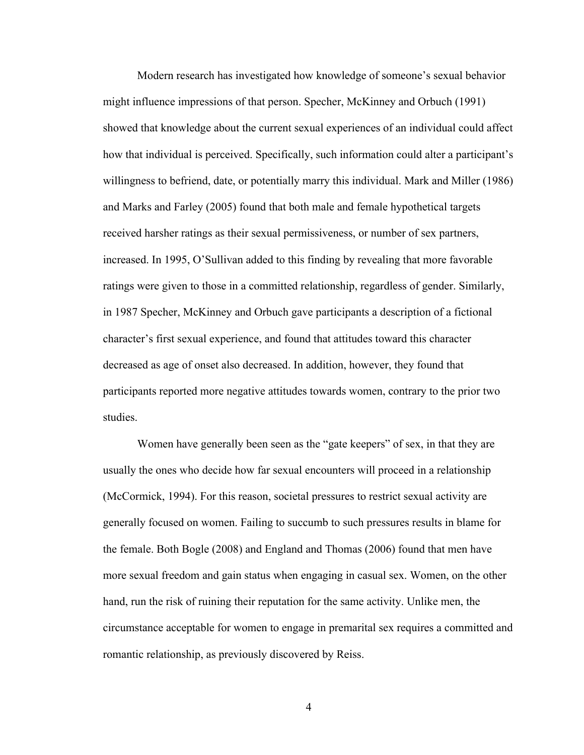Modern research has investigated how knowledge of someone's sexual behavior might influence impressions of that person. Specher, McKinney and Orbuch (1991) showed that knowledge about the current sexual experiences of an individual could affect how that individual is perceived. Specifically, such information could alter a participant's willingness to befriend, date, or potentially marry this individual. Mark and Miller (1986) and Marks and Farley (2005) found that both male and female hypothetical targets received harsher ratings as their sexual permissiveness, or number of sex partners, increased. In 1995, O'Sullivan added to this finding by revealing that more favorable ratings were given to those in a committed relationship, regardless of gender. Similarly, in 1987 Specher, McKinney and Orbuch gave participants a description of a fictional character's first sexual experience, and found that attitudes toward this character decreased as age of onset also decreased. In addition, however, they found that participants reported more negative attitudes towards women, contrary to the prior two studies.

Women have generally been seen as the "gate keepers" of sex, in that they are usually the ones who decide how far sexual encounters will proceed in a relationship (McCormick, 1994). For this reason, societal pressures to restrict sexual activity are generally focused on women. Failing to succumb to such pressures results in blame for the female. Both Bogle (2008) and England and Thomas (2006) found that men have more sexual freedom and gain status when engaging in casual sex. Women, on the other hand, run the risk of ruining their reputation for the same activity. Unlike men, the circumstance acceptable for women to engage in premarital sex requires a committed and romantic relationship, as previously discovered by Reiss.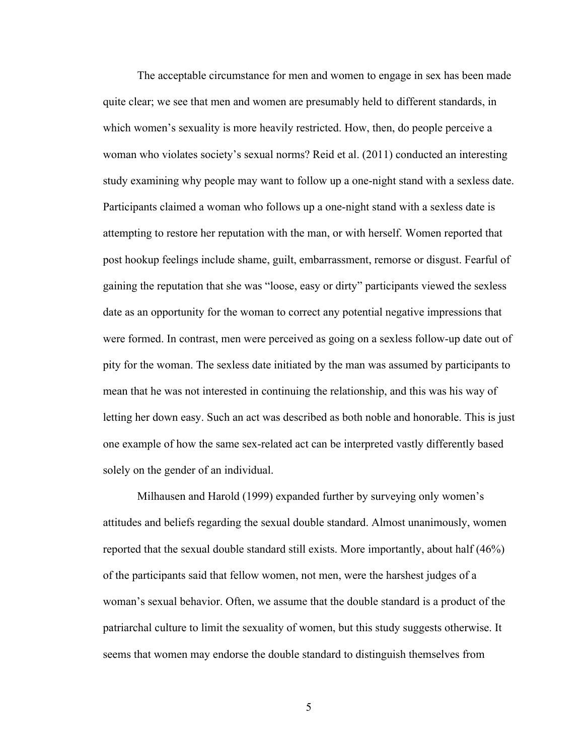The acceptable circumstance for men and women to engage in sex has been made quite clear; we see that men and women are presumably held to different standards, in which women's sexuality is more heavily restricted. How, then, do people perceive a woman who violates society's sexual norms? Reid et al. (2011) conducted an interesting study examining why people may want to follow up a one-night stand with a sexless date. Participants claimed a woman who follows up a one-night stand with a sexless date is attempting to restore her reputation with the man, or with herself. Women reported that post hookup feelings include shame, guilt, embarrassment, remorse or disgust. Fearful of gaining the reputation that she was "loose, easy or dirty" participants viewed the sexless date as an opportunity for the woman to correct any potential negative impressions that were formed. In contrast, men were perceived as going on a sexless follow-up date out of pity for the woman. The sexless date initiated by the man was assumed by participants to mean that he was not interested in continuing the relationship, and this was his way of letting her down easy. Such an act was described as both noble and honorable. This is just one example of how the same sex-related act can be interpreted vastly differently based solely on the gender of an individual.

Milhausen and Harold (1999) expanded further by surveying only women's attitudes and beliefs regarding the sexual double standard. Almost unanimously, women reported that the sexual double standard still exists. More importantly, about half (46%) of the participants said that fellow women, not men, were the harshest judges of a woman's sexual behavior. Often, we assume that the double standard is a product of the patriarchal culture to limit the sexuality of women, but this study suggests otherwise. It seems that women may endorse the double standard to distinguish themselves from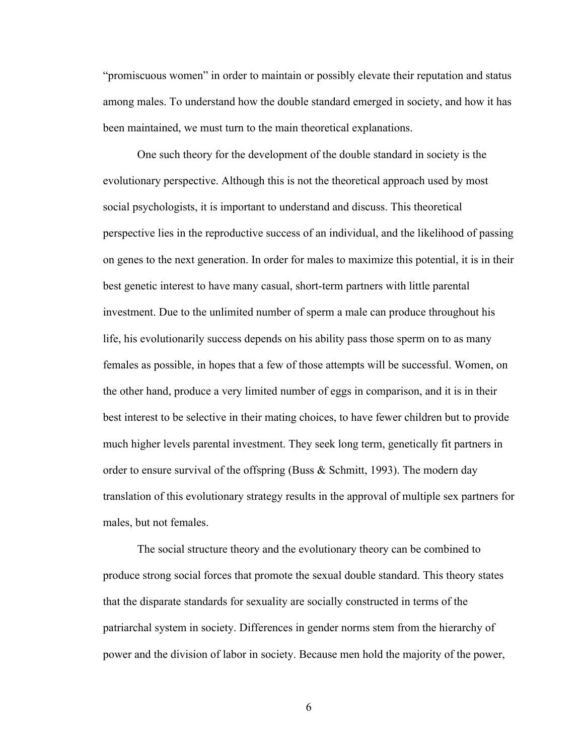"promiscuous women" in order to maintain or possibly elevate their reputation and status among males. To understand how the double standard emerged in society, and how it has been maintained, we must turn to the main theoretical explanations.

One such theory for the development of the double standard in society is the evolutionary perspective. Although this is not the theoretical approach used by most social psychologists, it is important to understand and discuss. This theoretical perspective lies in the reproductive success of an individual, and the likelihood of passing on genes to the next generation. In order for males to maximize this potential, it is in their best genetic interest to have many casual, short-term partners with little parental investment. Due to the unlimited number of sperm a male can produce throughout his life, his evolutionarily success depends on his ability pass those sperm on to as many females as possible, in hopes that a few of those attempts will be successful. Women, on the other hand, produce a very limited number of eggs in comparison, and it is in their best interest to be selective in their mating choices, to have fewer children but to provide much higher levels parental investment. They seek long term, genetically fit partners in order to ensure survival of the offspring (Buss  $\&$  Schmitt, 1993). The modern day translation of this evolutionary strategy results in the approval of multiple sex partners for males, but not females.

The social structure theory and the evolutionary theory can be combined to produce strong social forces that promote the sexual double standard. This theory states that the disparate standards for sexuality are socially constructed in terms of the patriarchal system in society. Differences in gender norms stem from the hierarchy of power and the division of labor in society. Because men hold the majority of the power,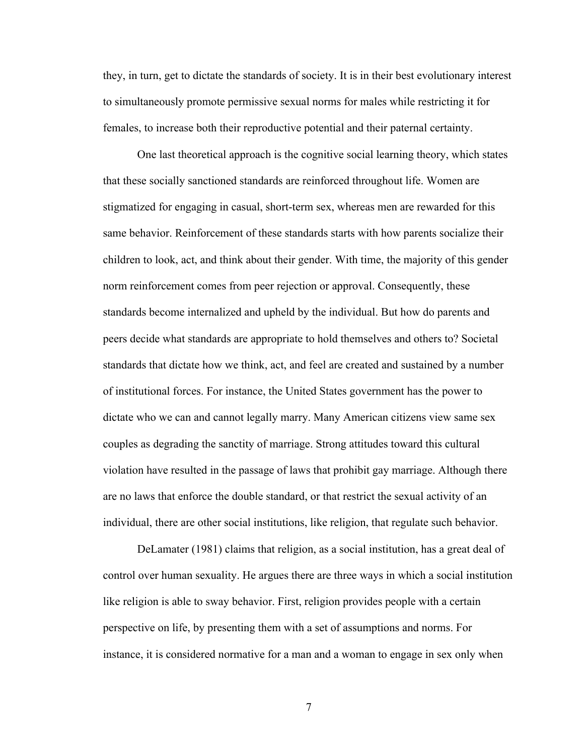they, in turn, get to dictate the standards of society. It is in their best evolutionary interest to simultaneously promote permissive sexual norms for males while restricting it for females, to increase both their reproductive potential and their paternal certainty.

One last theoretical approach is the cognitive social learning theory, which states that these socially sanctioned standards are reinforced throughout life. Women are stigmatized for engaging in casual, short-term sex, whereas men are rewarded for this same behavior. Reinforcement of these standards starts with how parents socialize their children to look, act, and think about their gender. With time, the majority of this gender norm reinforcement comes from peer rejection or approval. Consequently, these standards become internalized and upheld by the individual. But how do parents and peers decide what standards are appropriate to hold themselves and others to? Societal standards that dictate how we think, act, and feel are created and sustained by a number of institutional forces. For instance, the United States government has the power to dictate who we can and cannot legally marry. Many American citizens view same sex couples as degrading the sanctity of marriage. Strong attitudes toward this cultural violation have resulted in the passage of laws that prohibit gay marriage. Although there are no laws that enforce the double standard, or that restrict the sexual activity of an individual, there are other social institutions, like religion, that regulate such behavior.

DeLamater (1981) claims that religion, as a social institution, has a great deal of control over human sexuality. He argues there are three ways in which a social institution like religion is able to sway behavior. First, religion provides people with a certain perspective on life, by presenting them with a set of assumptions and norms. For instance, it is considered normative for a man and a woman to engage in sex only when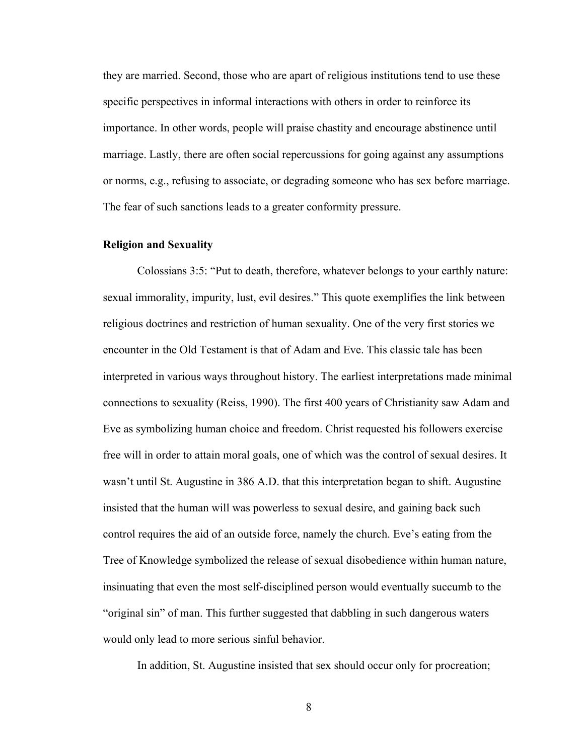they are married. Second, those who are apart of religious institutions tend to use these specific perspectives in informal interactions with others in order to reinforce its importance. In other words, people will praise chastity and encourage abstinence until marriage. Lastly, there are often social repercussions for going against any assumptions or norms, e.g., refusing to associate, or degrading someone who has sex before marriage. The fear of such sanctions leads to a greater conformity pressure.

#### **Religion and Sexuality**

Colossians 3:5: "Put to death, therefore, whatever belongs to your earthly nature: sexual immorality, impurity, lust, evil desires." This quote exemplifies the link between religious doctrines and restriction of human sexuality. One of the very first stories we encounter in the Old Testament is that of Adam and Eve. This classic tale has been interpreted in various ways throughout history. The earliest interpretations made minimal connections to sexuality (Reiss, 1990). The first 400 years of Christianity saw Adam and Eve as symbolizing human choice and freedom. Christ requested his followers exercise free will in order to attain moral goals, one of which was the control of sexual desires. It wasn't until St. Augustine in 386 A.D. that this interpretation began to shift. Augustine insisted that the human will was powerless to sexual desire, and gaining back such control requires the aid of an outside force, namely the church. Eve's eating from the Tree of Knowledge symbolized the release of sexual disobedience within human nature, insinuating that even the most self-disciplined person would eventually succumb to the "original sin" of man. This further suggested that dabbling in such dangerous waters would only lead to more serious sinful behavior.

In addition, St. Augustine insisted that sex should occur only for procreation;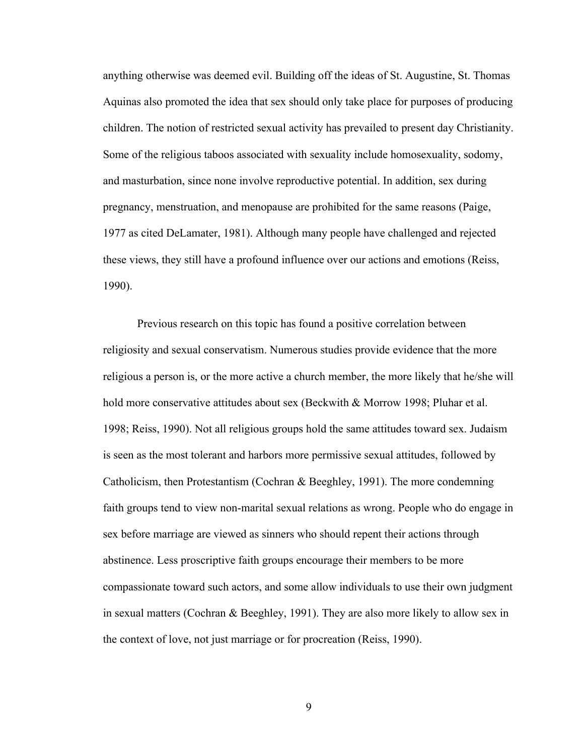anything otherwise was deemed evil. Building off the ideas of St. Augustine, St. Thomas Aquinas also promoted the idea that sex should only take place for purposes of producing children. The notion of restricted sexual activity has prevailed to present day Christianity. Some of the religious taboos associated with sexuality include homosexuality, sodomy, and masturbation, since none involve reproductive potential. In addition, sex during pregnancy, menstruation, and menopause are prohibited for the same reasons (Paige, 1977 as cited DeLamater, 1981). Although many people have challenged and rejected these views, they still have a profound influence over our actions and emotions (Reiss, 1990).

Previous research on this topic has found a positive correlation between religiosity and sexual conservatism. Numerous studies provide evidence that the more religious a person is, or the more active a church member, the more likely that he/she will hold more conservative attitudes about sex (Beckwith & Morrow 1998; Pluhar et al. 1998; Reiss, 1990). Not all religious groups hold the same attitudes toward sex. Judaism is seen as the most tolerant and harbors more permissive sexual attitudes, followed by Catholicism, then Protestantism (Cochran & Beeghley, 1991). The more condemning faith groups tend to view non-marital sexual relations as wrong. People who do engage in sex before marriage are viewed as sinners who should repent their actions through abstinence. Less proscriptive faith groups encourage their members to be more compassionate toward such actors, and some allow individuals to use their own judgment in sexual matters (Cochran & Beeghley, 1991). They are also more likely to allow sex in the context of love, not just marriage or for procreation (Reiss, 1990).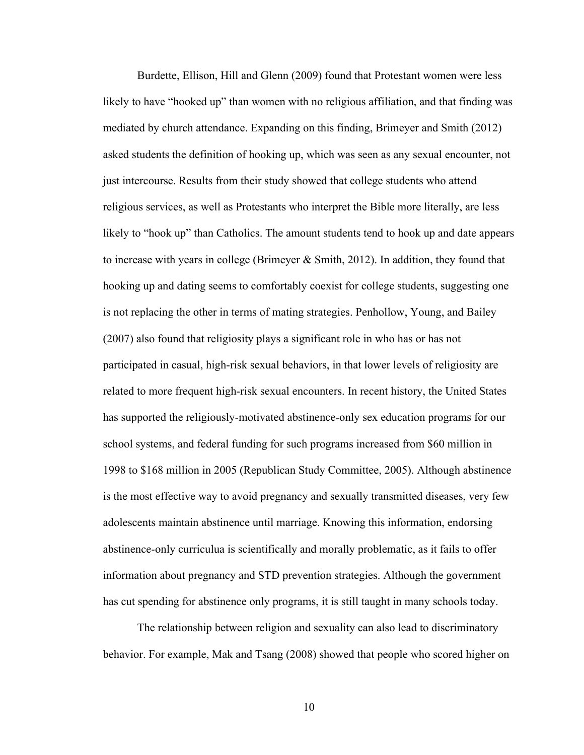Burdette, Ellison, Hill and Glenn (2009) found that Protestant women were less likely to have "hooked up" than women with no religious affiliation, and that finding was mediated by church attendance. Expanding on this finding, Brimeyer and Smith (2012) asked students the definition of hooking up, which was seen as any sexual encounter, not just intercourse. Results from their study showed that college students who attend religious services, as well as Protestants who interpret the Bible more literally, are less likely to "hook up" than Catholics. The amount students tend to hook up and date appears to increase with years in college (Brimeyer  $\&$  Smith, 2012). In addition, they found that hooking up and dating seems to comfortably coexist for college students, suggesting one is not replacing the other in terms of mating strategies. Penhollow, Young, and Bailey (2007) also found that religiosity plays a significant role in who has or has not participated in casual, high-risk sexual behaviors, in that lower levels of religiosity are related to more frequent high-risk sexual encounters. In recent history, the United States has supported the religiously-motivated abstinence-only sex education programs for our school systems, and federal funding for such programs increased from \$60 million in 1998 to \$168 million in 2005 (Republican Study Committee, 2005). Although abstinence is the most effective way to avoid pregnancy and sexually transmitted diseases, very few adolescents maintain abstinence until marriage. Knowing this information, endorsing abstinence-only curriculua is scientifically and morally problematic, as it fails to offer information about pregnancy and STD prevention strategies. Although the government has cut spending for abstinence only programs, it is still taught in many schools today.

The relationship between religion and sexuality can also lead to discriminatory behavior. For example, Mak and Tsang (2008) showed that people who scored higher on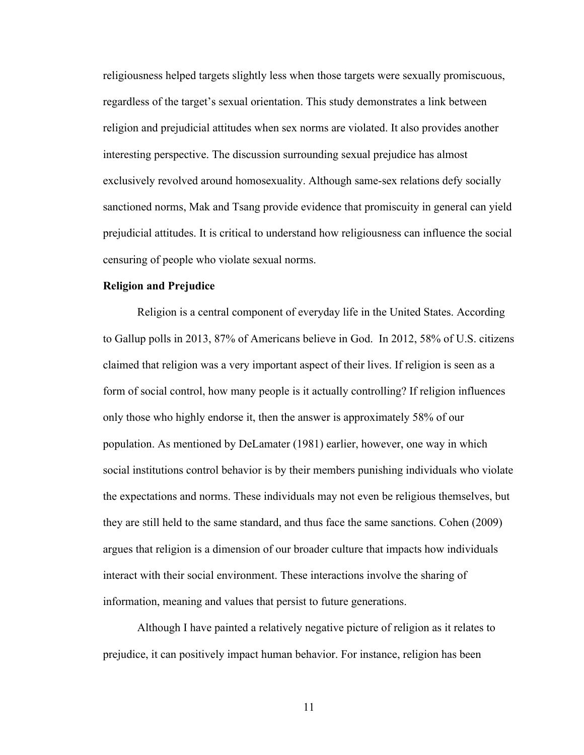religiousness helped targets slightly less when those targets were sexually promiscuous, regardless of the target's sexual orientation. This study demonstrates a link between religion and prejudicial attitudes when sex norms are violated. It also provides another interesting perspective. The discussion surrounding sexual prejudice has almost exclusively revolved around homosexuality. Although same-sex relations defy socially sanctioned norms, Mak and Tsang provide evidence that promiscuity in general can yield prejudicial attitudes. It is critical to understand how religiousness can influence the social censuring of people who violate sexual norms.

#### **Religion and Prejudice**

Religion is a central component of everyday life in the United States. According to Gallup polls in 2013, 87% of Americans believe in God. In 2012, 58% of U.S. citizens claimed that religion was a very important aspect of their lives. If religion is seen as a form of social control, how many people is it actually controlling? If religion influences only those who highly endorse it, then the answer is approximately 58% of our population. As mentioned by DeLamater (1981) earlier, however, one way in which social institutions control behavior is by their members punishing individuals who violate the expectations and norms. These individuals may not even be religious themselves, but they are still held to the same standard, and thus face the same sanctions. Cohen (2009) argues that religion is a dimension of our broader culture that impacts how individuals interact with their social environment. These interactions involve the sharing of information, meaning and values that persist to future generations.

Although I have painted a relatively negative picture of religion as it relates to prejudice, it can positively impact human behavior. For instance, religion has been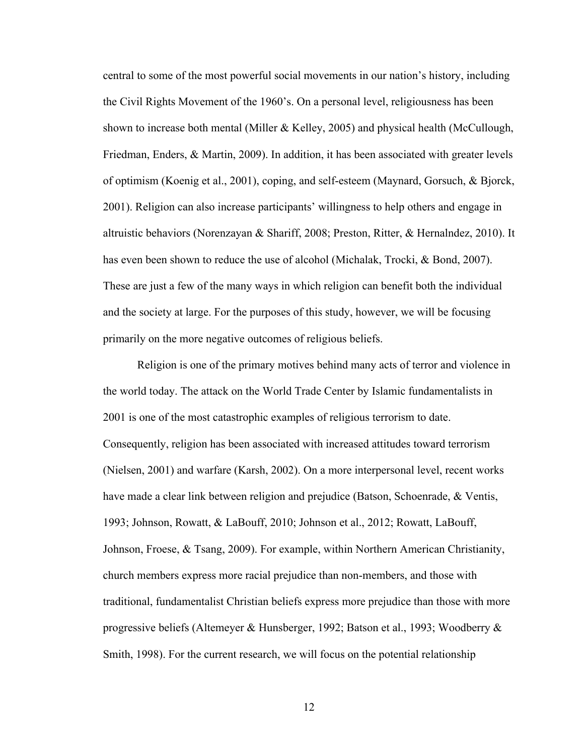central to some of the most powerful social movements in our nation's history, including the Civil Rights Movement of the 1960's. On a personal level, religiousness has been shown to increase both mental (Miller & Kelley, 2005) and physical health (McCullough, Friedman, Enders, & Martin, 2009). In addition, it has been associated with greater levels of optimism (Koenig et al., 2001), coping, and self-esteem (Maynard, Gorsuch, & Bjorck, 2001). Religion can also increase participants' willingness to help others and engage in altruistic behaviors (Norenzayan & Shariff, 2008; Preston, Ritter, & Hernalndez, 2010). It has even been shown to reduce the use of alcohol (Michalak, Trocki, & Bond, 2007). These are just a few of the many ways in which religion can benefit both the individual and the society at large. For the purposes of this study, however, we will be focusing primarily on the more negative outcomes of religious beliefs.

Religion is one of the primary motives behind many acts of terror and violence in the world today. The attack on the World Trade Center by Islamic fundamentalists in 2001 is one of the most catastrophic examples of religious terrorism to date. Consequently, religion has been associated with increased attitudes toward terrorism (Nielsen, 2001) and warfare (Karsh, 2002). On a more interpersonal level, recent works have made a clear link between religion and prejudice (Batson, Schoenrade, & Ventis, 1993; Johnson, Rowatt, & LaBouff, 2010; Johnson et al., 2012; Rowatt, LaBouff, Johnson, Froese, & Tsang, 2009). For example, within Northern American Christianity, church members express more racial prejudice than non-members, and those with traditional, fundamentalist Christian beliefs express more prejudice than those with more progressive beliefs (Altemeyer & Hunsberger, 1992; Batson et al., 1993; Woodberry & Smith, 1998). For the current research, we will focus on the potential relationship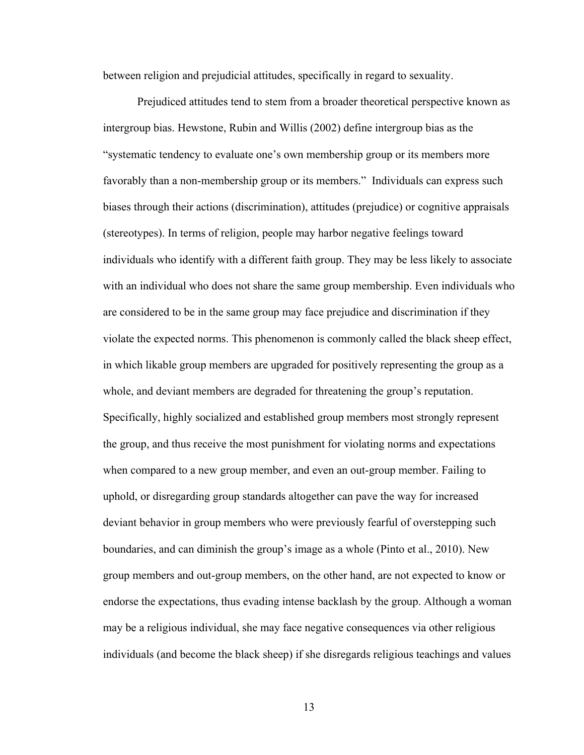between religion and prejudicial attitudes, specifically in regard to sexuality.

Prejudiced attitudes tend to stem from a broader theoretical perspective known as intergroup bias. Hewstone, Rubin and Willis (2002) define intergroup bias as the "systematic tendency to evaluate one's own membership group or its members more favorably than a non-membership group or its members." Individuals can express such biases through their actions (discrimination), attitudes (prejudice) or cognitive appraisals (stereotypes). In terms of religion, people may harbor negative feelings toward individuals who identify with a different faith group. They may be less likely to associate with an individual who does not share the same group membership. Even individuals who are considered to be in the same group may face prejudice and discrimination if they violate the expected norms. This phenomenon is commonly called the black sheep effect, in which likable group members are upgraded for positively representing the group as a whole, and deviant members are degraded for threatening the group's reputation. Specifically, highly socialized and established group members most strongly represent the group, and thus receive the most punishment for violating norms and expectations when compared to a new group member, and even an out-group member. Failing to uphold, or disregarding group standards altogether can pave the way for increased deviant behavior in group members who were previously fearful of overstepping such boundaries, and can diminish the group's image as a whole (Pinto et al., 2010). New group members and out-group members, on the other hand, are not expected to know or endorse the expectations, thus evading intense backlash by the group. Although a woman may be a religious individual, she may face negative consequences via other religious individuals (and become the black sheep) if she disregards religious teachings and values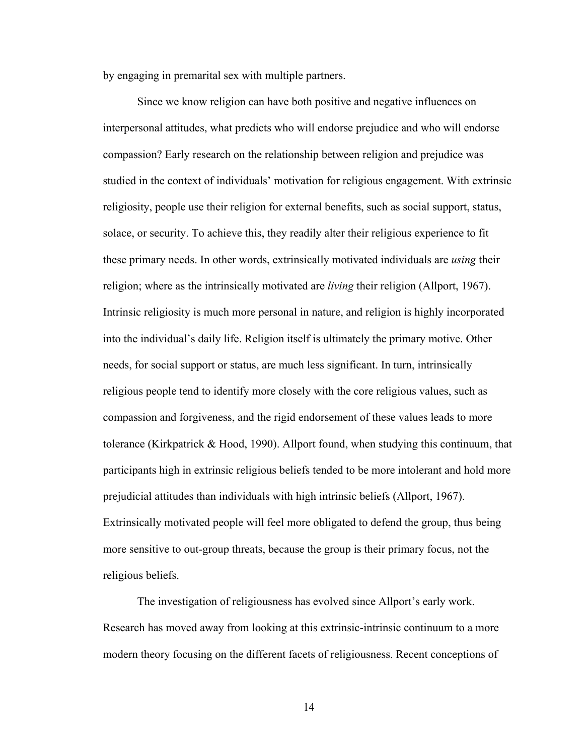by engaging in premarital sex with multiple partners.

Since we know religion can have both positive and negative influences on interpersonal attitudes, what predicts who will endorse prejudice and who will endorse compassion? Early research on the relationship between religion and prejudice was studied in the context of individuals' motivation for religious engagement. With extrinsic religiosity, people use their religion for external benefits, such as social support, status, solace, or security. To achieve this, they readily alter their religious experience to fit these primary needs. In other words, extrinsically motivated individuals are *using* their religion; where as the intrinsically motivated are *living* their religion (Allport, 1967). Intrinsic religiosity is much more personal in nature, and religion is highly incorporated into the individual's daily life. Religion itself is ultimately the primary motive. Other needs, for social support or status, are much less significant. In turn, intrinsically religious people tend to identify more closely with the core religious values, such as compassion and forgiveness, and the rigid endorsement of these values leads to more tolerance (Kirkpatrick & Hood, 1990). Allport found, when studying this continuum, that participants high in extrinsic religious beliefs tended to be more intolerant and hold more prejudicial attitudes than individuals with high intrinsic beliefs (Allport, 1967). Extrinsically motivated people will feel more obligated to defend the group, thus being more sensitive to out-group threats, because the group is their primary focus, not the religious beliefs.

The investigation of religiousness has evolved since Allport's early work. Research has moved away from looking at this extrinsic-intrinsic continuum to a more modern theory focusing on the different facets of religiousness. Recent conceptions of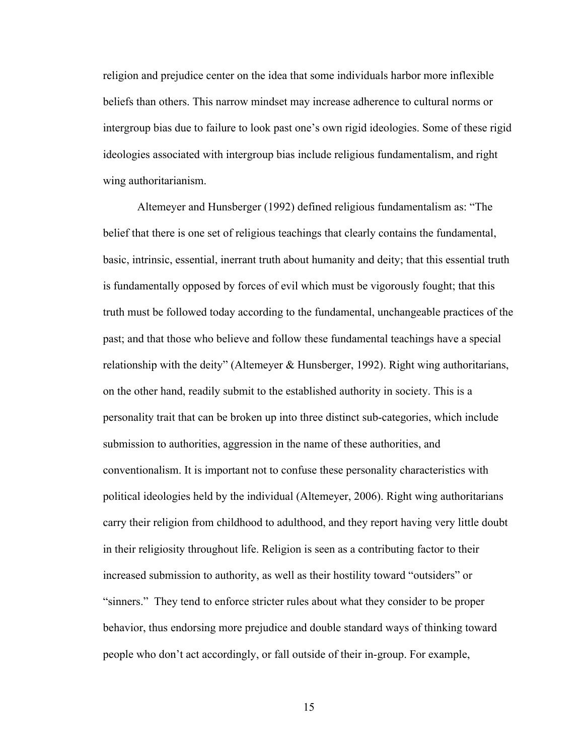religion and prejudice center on the idea that some individuals harbor more inflexible beliefs than others. This narrow mindset may increase adherence to cultural norms or intergroup bias due to failure to look past one's own rigid ideologies. Some of these rigid ideologies associated with intergroup bias include religious fundamentalism, and right wing authoritarianism.

Altemeyer and Hunsberger (1992) defined religious fundamentalism as: "The belief that there is one set of religious teachings that clearly contains the fundamental, basic, intrinsic, essential, inerrant truth about humanity and deity; that this essential truth is fundamentally opposed by forces of evil which must be vigorously fought; that this truth must be followed today according to the fundamental, unchangeable practices of the past; and that those who believe and follow these fundamental teachings have a special relationship with the deity" (Altemeyer & Hunsberger, 1992). Right wing authoritarians, on the other hand, readily submit to the established authority in society. This is a personality trait that can be broken up into three distinct sub-categories, which include submission to authorities, aggression in the name of these authorities, and conventionalism. It is important not to confuse these personality characteristics with political ideologies held by the individual (Altemeyer, 2006). Right wing authoritarians carry their religion from childhood to adulthood, and they report having very little doubt in their religiosity throughout life. Religion is seen as a contributing factor to their increased submission to authority, as well as their hostility toward "outsiders" or "sinners." They tend to enforce stricter rules about what they consider to be proper behavior, thus endorsing more prejudice and double standard ways of thinking toward people who don't act accordingly, or fall outside of their in-group. For example,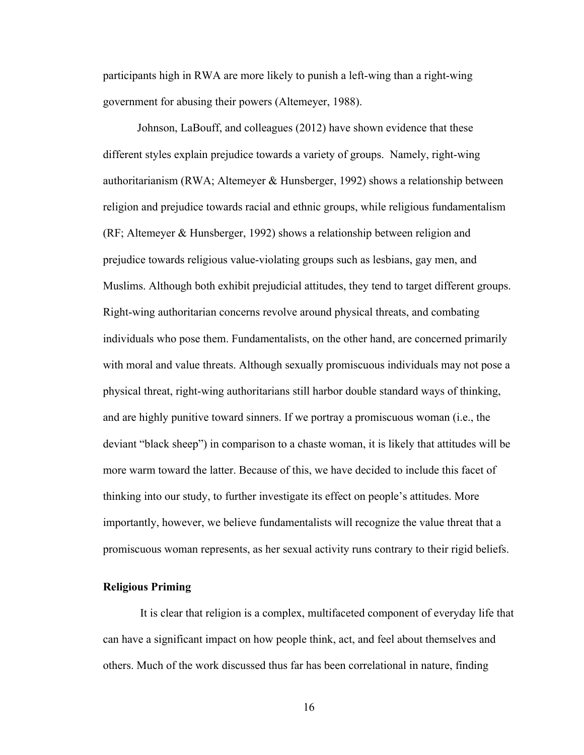participants high in RWA are more likely to punish a left-wing than a right-wing government for abusing their powers (Altemeyer, 1988).

Johnson, LaBouff, and colleagues (2012) have shown evidence that these different styles explain prejudice towards a variety of groups. Namely, right-wing authoritarianism (RWA; Altemeyer & Hunsberger, 1992) shows a relationship between religion and prejudice towards racial and ethnic groups, while religious fundamentalism (RF; Altemeyer & Hunsberger, 1992) shows a relationship between religion and prejudice towards religious value-violating groups such as lesbians, gay men, and Muslims. Although both exhibit prejudicial attitudes, they tend to target different groups. Right-wing authoritarian concerns revolve around physical threats, and combating individuals who pose them. Fundamentalists, on the other hand, are concerned primarily with moral and value threats. Although sexually promiscuous individuals may not pose a physical threat, right-wing authoritarians still harbor double standard ways of thinking, and are highly punitive toward sinners. If we portray a promiscuous woman (i.e., the deviant "black sheep") in comparison to a chaste woman, it is likely that attitudes will be more warm toward the latter. Because of this, we have decided to include this facet of thinking into our study, to further investigate its effect on people's attitudes. More importantly, however, we believe fundamentalists will recognize the value threat that a promiscuous woman represents, as her sexual activity runs contrary to their rigid beliefs.

# **Religious Priming**

It is clear that religion is a complex, multifaceted component of everyday life that can have a significant impact on how people think, act, and feel about themselves and others. Much of the work discussed thus far has been correlational in nature, finding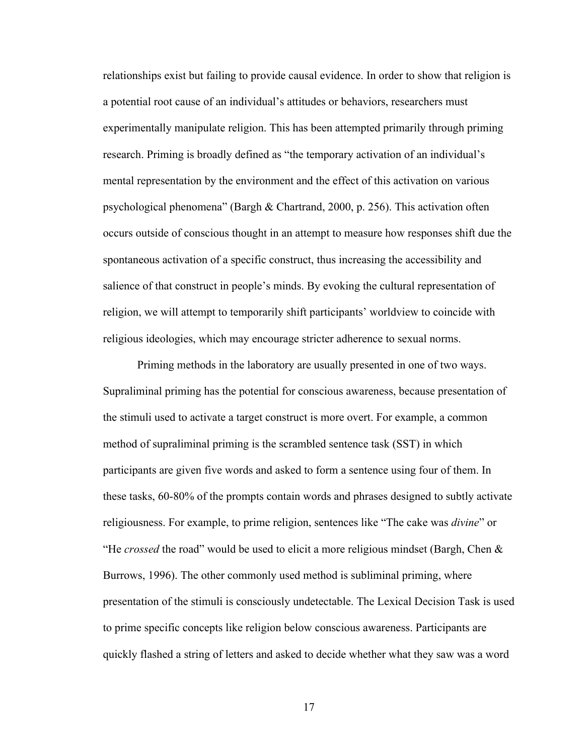relationships exist but failing to provide causal evidence. In order to show that religion is a potential root cause of an individual's attitudes or behaviors, researchers must experimentally manipulate religion. This has been attempted primarily through priming research. Priming is broadly defined as "the temporary activation of an individual's mental representation by the environment and the effect of this activation on various psychological phenomena" (Bargh & Chartrand, 2000, p. 256). This activation often occurs outside of conscious thought in an attempt to measure how responses shift due the spontaneous activation of a specific construct, thus increasing the accessibility and salience of that construct in people's minds. By evoking the cultural representation of religion, we will attempt to temporarily shift participants' worldview to coincide with religious ideologies, which may encourage stricter adherence to sexual norms.

Priming methods in the laboratory are usually presented in one of two ways. Supraliminal priming has the potential for conscious awareness, because presentation of the stimuli used to activate a target construct is more overt. For example, a common method of supraliminal priming is the scrambled sentence task (SST) in which participants are given five words and asked to form a sentence using four of them. In these tasks, 60-80% of the prompts contain words and phrases designed to subtly activate religiousness. For example, to prime religion, sentences like "The cake was *divine*" or "He *crossed* the road" would be used to elicit a more religious mindset (Bargh, Chen & Burrows, 1996). The other commonly used method is subliminal priming, where presentation of the stimuli is consciously undetectable. The Lexical Decision Task is used to prime specific concepts like religion below conscious awareness. Participants are quickly flashed a string of letters and asked to decide whether what they saw was a word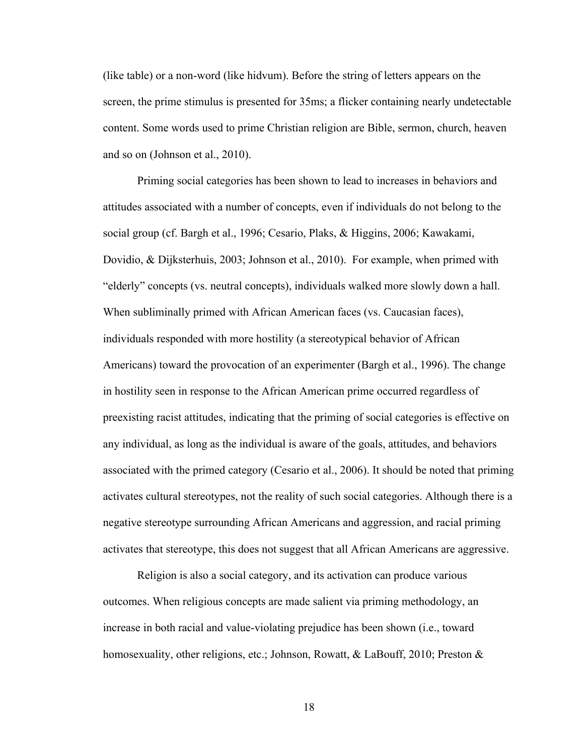(like table) or a non-word (like hidvum). Before the string of letters appears on the screen, the prime stimulus is presented for 35ms; a flicker containing nearly undetectable content. Some words used to prime Christian religion are Bible, sermon, church, heaven and so on (Johnson et al., 2010).

Priming social categories has been shown to lead to increases in behaviors and attitudes associated with a number of concepts, even if individuals do not belong to the social group (cf. Bargh et al., 1996; Cesario, Plaks, & Higgins, 2006; Kawakami, Dovidio, & Dijksterhuis, 2003; Johnson et al., 2010). For example, when primed with "elderly" concepts (vs. neutral concepts), individuals walked more slowly down a hall. When subliminally primed with African American faces (vs. Caucasian faces), individuals responded with more hostility (a stereotypical behavior of African Americans) toward the provocation of an experimenter (Bargh et al., 1996). The change in hostility seen in response to the African American prime occurred regardless of preexisting racist attitudes, indicating that the priming of social categories is effective on any individual, as long as the individual is aware of the goals, attitudes, and behaviors associated with the primed category (Cesario et al., 2006). It should be noted that priming activates cultural stereotypes, not the reality of such social categories. Although there is a negative stereotype surrounding African Americans and aggression, and racial priming activates that stereotype, this does not suggest that all African Americans are aggressive.

Religion is also a social category, and its activation can produce various outcomes. When religious concepts are made salient via priming methodology, an increase in both racial and value-violating prejudice has been shown (i.e., toward homosexuality, other religions, etc.; Johnson, Rowatt, & LaBouff, 2010; Preston &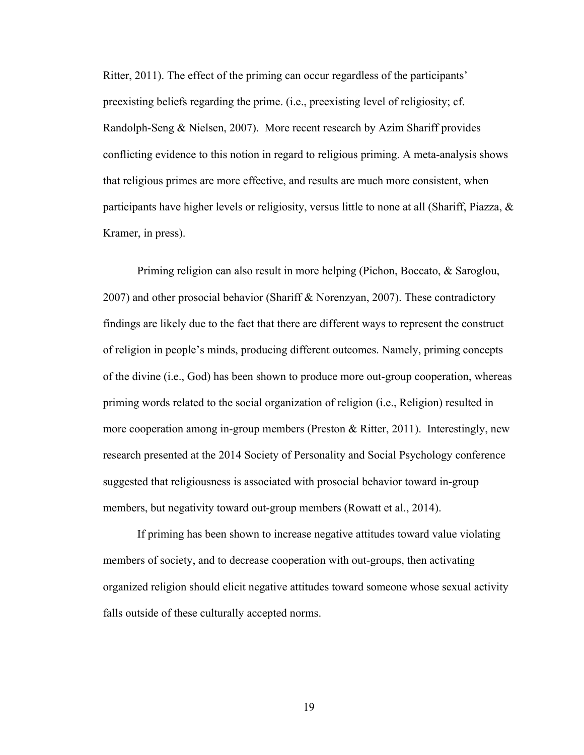Ritter, 2011). The effect of the priming can occur regardless of the participants' preexisting beliefs regarding the prime. (i.e., preexisting level of religiosity; cf. Randolph-Seng & Nielsen, 2007). More recent research by Azim Shariff provides conflicting evidence to this notion in regard to religious priming. A meta-analysis shows that religious primes are more effective, and results are much more consistent, when participants have higher levels or religiosity, versus little to none at all (Shariff, Piazza, & Kramer, in press).

Priming religion can also result in more helping (Pichon, Boccato, & Saroglou, 2007) and other prosocial behavior (Shariff & Norenzyan, 2007). These contradictory findings are likely due to the fact that there are different ways to represent the construct of religion in people's minds, producing different outcomes. Namely, priming concepts of the divine (i.e., God) has been shown to produce more out-group cooperation, whereas priming words related to the social organization of religion (i.e., Religion) resulted in more cooperation among in-group members (Preston & Ritter, 2011). Interestingly, new research presented at the 2014 Society of Personality and Social Psychology conference suggested that religiousness is associated with prosocial behavior toward in-group members, but negativity toward out-group members (Rowatt et al., 2014).

If priming has been shown to increase negative attitudes toward value violating members of society, and to decrease cooperation with out-groups, then activating organized religion should elicit negative attitudes toward someone whose sexual activity falls outside of these culturally accepted norms.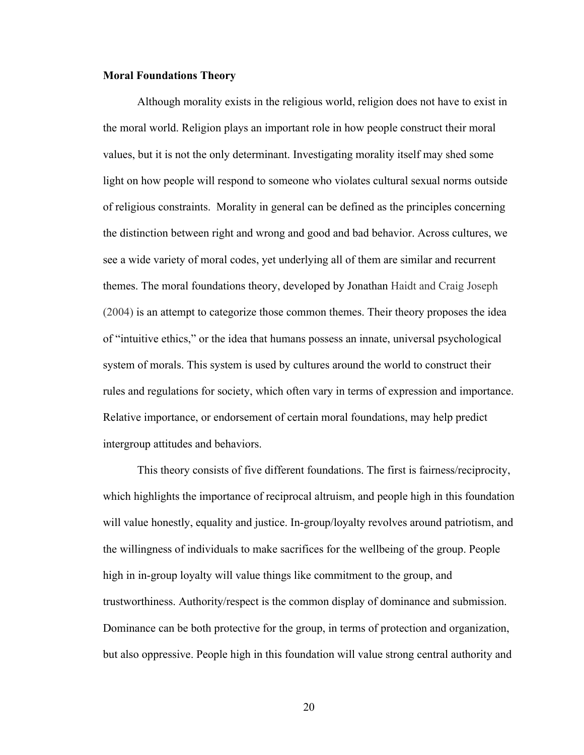#### **Moral Foundations Theory**

Although morality exists in the religious world, religion does not have to exist in the moral world. Religion plays an important role in how people construct their moral values, but it is not the only determinant. Investigating morality itself may shed some light on how people will respond to someone who violates cultural sexual norms outside of religious constraints. Morality in general can be defined as the principles concerning the distinction between right and wrong and good and bad behavior. Across cultures, we see a wide variety of moral codes, yet underlying all of them are similar and recurrent themes. The moral foundations theory, developed by Jonathan Haidt and Craig Joseph (2004) is an attempt to categorize those common themes. Their theory proposes the idea of "intuitive ethics," or the idea that humans possess an innate, universal psychological system of morals. This system is used by cultures around the world to construct their rules and regulations for society, which often vary in terms of expression and importance. Relative importance, or endorsement of certain moral foundations, may help predict intergroup attitudes and behaviors.

This theory consists of five different foundations. The first is fairness/reciprocity, which highlights the importance of reciprocal altruism, and people high in this foundation will value honestly, equality and justice. In-group/loyalty revolves around patriotism, and the willingness of individuals to make sacrifices for the wellbeing of the group. People high in in-group loyalty will value things like commitment to the group, and trustworthiness. Authority/respect is the common display of dominance and submission. Dominance can be both protective for the group, in terms of protection and organization, but also oppressive. People high in this foundation will value strong central authority and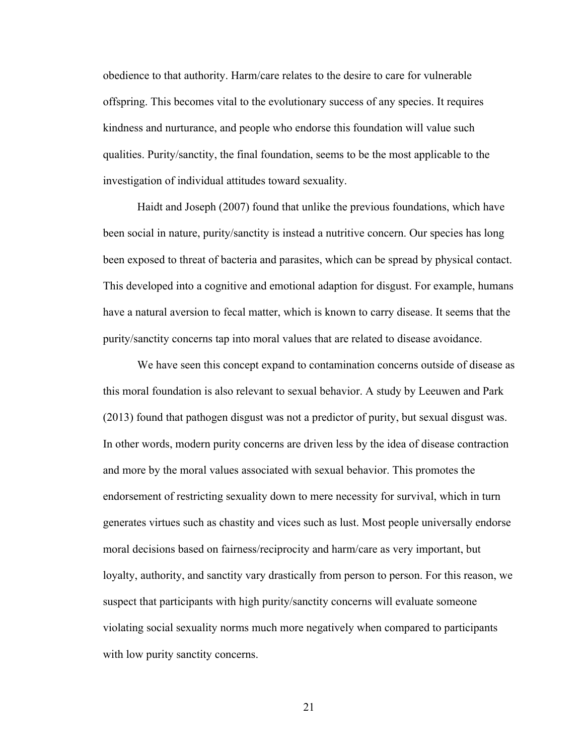obedience to that authority. Harm/care relates to the desire to care for vulnerable offspring. This becomes vital to the evolutionary success of any species. It requires kindness and nurturance, and people who endorse this foundation will value such qualities. Purity/sanctity, the final foundation, seems to be the most applicable to the investigation of individual attitudes toward sexuality.

Haidt and Joseph (2007) found that unlike the previous foundations, which have been social in nature, purity/sanctity is instead a nutritive concern. Our species has long been exposed to threat of bacteria and parasites, which can be spread by physical contact. This developed into a cognitive and emotional adaption for disgust. For example, humans have a natural aversion to fecal matter, which is known to carry disease. It seems that the purity/sanctity concerns tap into moral values that are related to disease avoidance.

We have seen this concept expand to contamination concerns outside of disease as this moral foundation is also relevant to sexual behavior. A study by Leeuwen and Park (2013) found that pathogen disgust was not a predictor of purity, but sexual disgust was. In other words, modern purity concerns are driven less by the idea of disease contraction and more by the moral values associated with sexual behavior. This promotes the endorsement of restricting sexuality down to mere necessity for survival, which in turn generates virtues such as chastity and vices such as lust. Most people universally endorse moral decisions based on fairness/reciprocity and harm/care as very important, but loyalty, authority, and sanctity vary drastically from person to person. For this reason, we suspect that participants with high purity/sanctity concerns will evaluate someone violating social sexuality norms much more negatively when compared to participants with low purity sanctity concerns.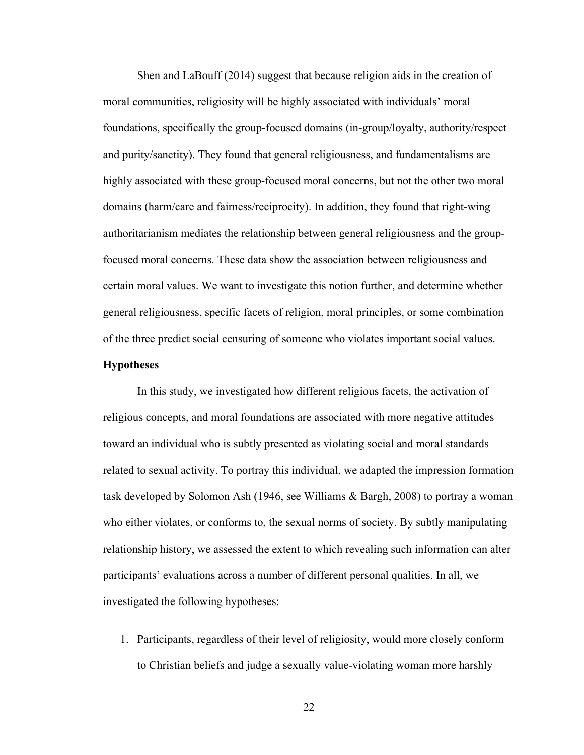Shen and LaBouff (2014) suggest that because religion aids in the creation of moral communities, religiosity will be highly associated with individuals' moral foundations, specifically the group-focused domains (in-group/loyalty, authority/respect and purity/sanctity). They found that general religiousness, and fundamentalisms are highly associated with these group-focused moral concerns, but not the other two moral domains (harm/care and fairness/reciprocity). In addition, they found that right-wing authoritarianism mediates the relationship between general religiousness and the groupfocused moral concerns. These data show the association between religiousness and certain moral values. We want to investigate this notion further, and determine whether general religiousness, specific facets of religion, moral principles, or some combination of the three predict social censuring of someone who violates important social values.

#### **Hypotheses**

In this study, we investigated how different religious facets, the activation of religious concepts, and moral foundations are associated with more negative attitudes toward an individual who is subtly presented as violating social and moral standards related to sexual activity. To portray this individual, we adapted the impression formation task developed by Solomon Ash (1946, see Williams & Bargh, 2008) to portray a woman who either violates, or conforms to, the sexual norms of society. By subtly manipulating relationship history, we assessed the extent to which revealing such information can alter participants' evaluations across a number of different personal qualities. In all, we investigated the following hypotheses:

1. Participants, regardless of their level of religiosity, would more closely conform to Christian beliefs and judge a sexually value-violating woman more harshly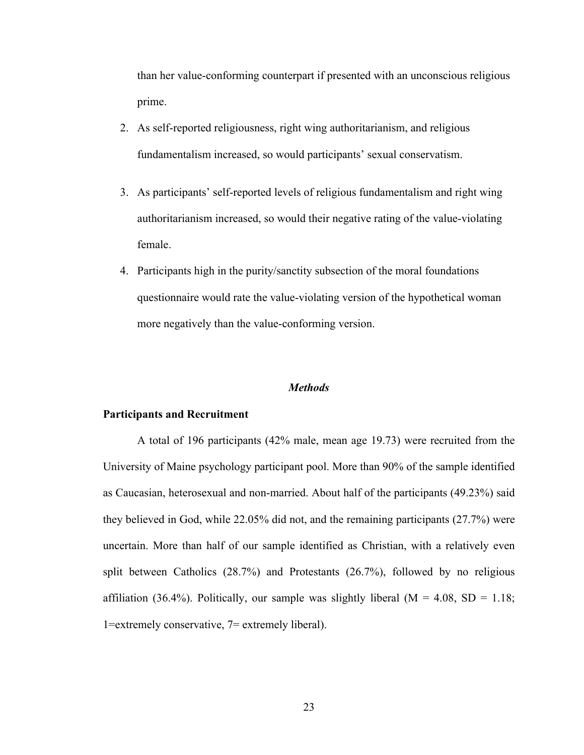than her value-conforming counterpart if presented with an unconscious religious prime.

- 2. As self-reported religiousness, right wing authoritarianism, and religious fundamentalism increased, so would participants' sexual conservatism.
- 3. As participants' self-reported levels of religious fundamentalism and right wing authoritarianism increased, so would their negative rating of the value-violating female.
- 4. Participants high in the purity/sanctity subsection of the moral foundations questionnaire would rate the value-violating version of the hypothetical woman more negatively than the value-conforming version.

## *Methods*

#### **Participants and Recruitment**

A total of 196 participants (42% male, mean age 19.73) were recruited from the University of Maine psychology participant pool. More than 90% of the sample identified as Caucasian, heterosexual and non-married. About half of the participants (49.23%) said they believed in God, while 22.05% did not, and the remaining participants (27.7%) were uncertain. More than half of our sample identified as Christian, with a relatively even split between Catholics (28.7%) and Protestants (26.7%), followed by no religious affiliation (36.4%). Politically, our sample was slightly liberal ( $M = 4.08$ , SD = 1.18; 1=extremely conservative, 7= extremely liberal).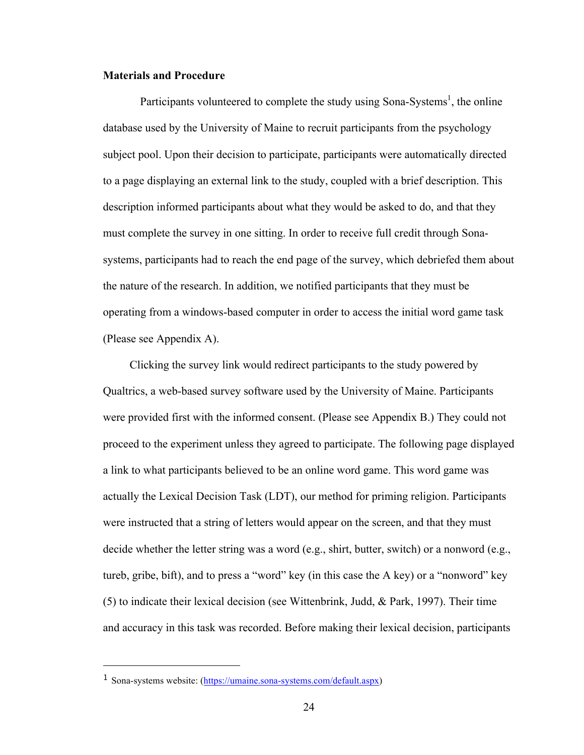# **Materials and Procedure**

Participants volunteered to complete the study using Sona-Systems<sup>1</sup>, the online database used by the University of Maine to recruit participants from the psychology subject pool. Upon their decision to participate, participants were automatically directed to a page displaying an external link to the study, coupled with a brief description. This description informed participants about what they would be asked to do, and that they must complete the survey in one sitting. In order to receive full credit through Sonasystems, participants had to reach the end page of the survey, which debriefed them about the nature of the research. In addition, we notified participants that they must be operating from a windows-based computer in order to access the initial word game task (Please see Appendix A).

Clicking the survey link would redirect participants to the study powered by Qualtrics, a web-based survey software used by the University of Maine. Participants were provided first with the informed consent. (Please see Appendix B.) They could not proceed to the experiment unless they agreed to participate. The following page displayed a link to what participants believed to be an online word game. This word game was actually the Lexical Decision Task (LDT), our method for priming religion. Participants were instructed that a string of letters would appear on the screen, and that they must decide whether the letter string was a word (e.g., shirt, butter, switch) or a nonword (e.g., tureb, gribe, bift), and to press a "word" key (in this case the A key) or a "nonword" key (5) to indicate their lexical decision (see Wittenbrink, Judd, & Park, 1997). Their time and accuracy in this task was recorded. Before making their lexical decision, participants

<sup>1</sup> Sona-systems website: (https://umaine.sona-systems.com/default.aspx)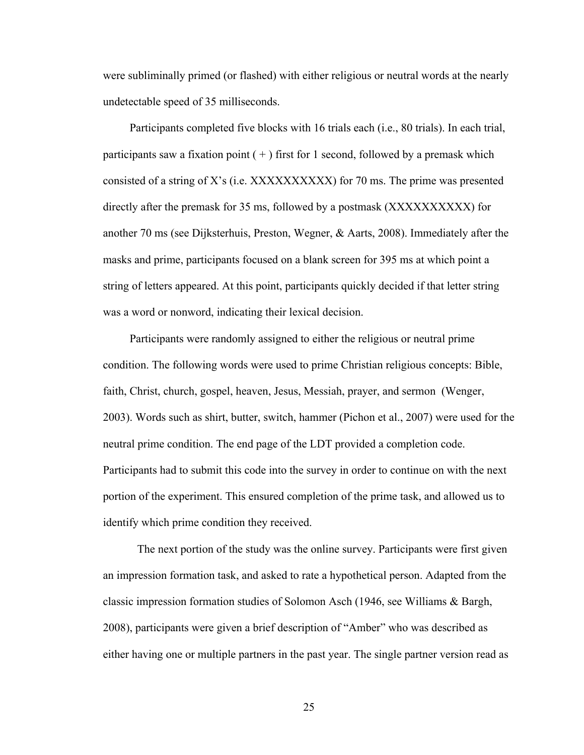were subliminally primed (or flashed) with either religious or neutral words at the nearly undetectable speed of 35 milliseconds.

Participants completed five blocks with 16 trials each (i.e., 80 trials). In each trial, participants saw a fixation point  $(+)$  first for 1 second, followed by a premask which consisted of a string of X's (i.e.  $XXXXXXXXX$ ) for 70 ms. The prime was presented directly after the premask for 35 ms, followed by a postmask (XXXXXXXXXX) for another 70 ms (see Dijksterhuis, Preston, Wegner, & Aarts, 2008). Immediately after the masks and prime, participants focused on a blank screen for 395 ms at which point a string of letters appeared. At this point, participants quickly decided if that letter string was a word or nonword, indicating their lexical decision.

Participants were randomly assigned to either the religious or neutral prime condition. The following words were used to prime Christian religious concepts: Bible, faith, Christ, church, gospel, heaven, Jesus, Messiah, prayer, and sermon (Wenger, 2003). Words such as shirt, butter, switch, hammer (Pichon et al., 2007) were used for the neutral prime condition. The end page of the LDT provided a completion code. Participants had to submit this code into the survey in order to continue on with the next portion of the experiment. This ensured completion of the prime task, and allowed us to identify which prime condition they received.

The next portion of the study was the online survey. Participants were first given an impression formation task, and asked to rate a hypothetical person. Adapted from the classic impression formation studies of Solomon Asch (1946, see Williams & Bargh, 2008), participants were given a brief description of "Amber" who was described as either having one or multiple partners in the past year. The single partner version read as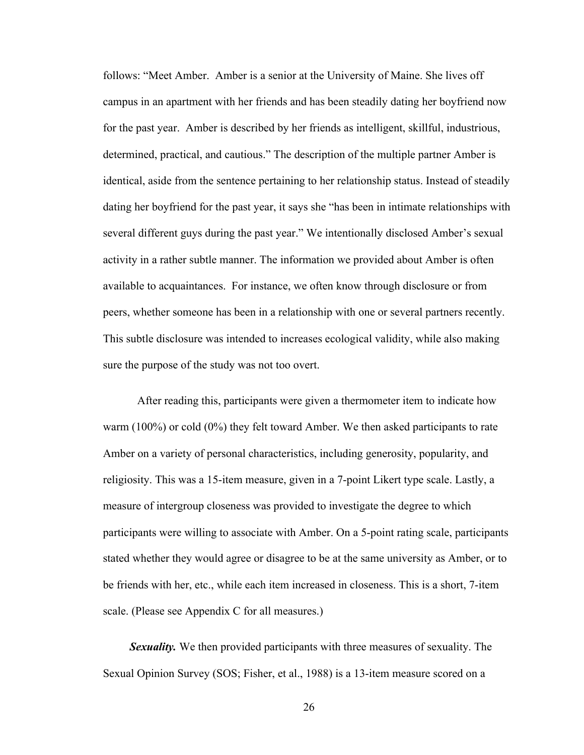follows: "Meet Amber. Amber is a senior at the University of Maine. She lives off campus in an apartment with her friends and has been steadily dating her boyfriend now for the past year. Amber is described by her friends as intelligent, skillful, industrious, determined, practical, and cautious." The description of the multiple partner Amber is identical, aside from the sentence pertaining to her relationship status. Instead of steadily dating her boyfriend for the past year, it says she "has been in intimate relationships with several different guys during the past year." We intentionally disclosed Amber's sexual activity in a rather subtle manner. The information we provided about Amber is often available to acquaintances. For instance, we often know through disclosure or from peers, whether someone has been in a relationship with one or several partners recently. This subtle disclosure was intended to increases ecological validity, while also making sure the purpose of the study was not too overt.

After reading this, participants were given a thermometer item to indicate how warm (100%) or cold (0%) they felt toward Amber. We then asked participants to rate Amber on a variety of personal characteristics, including generosity, popularity, and religiosity. This was a 15-item measure, given in a 7-point Likert type scale. Lastly, a measure of intergroup closeness was provided to investigate the degree to which participants were willing to associate with Amber. On a 5-point rating scale, participants stated whether they would agree or disagree to be at the same university as Amber, or to be friends with her, etc., while each item increased in closeness. This is a short, 7-item scale. (Please see Appendix C for all measures.)

*Sexuality.* We then provided participants with three measures of sexuality. The Sexual Opinion Survey (SOS; Fisher, et al., 1988) is a 13-item measure scored on a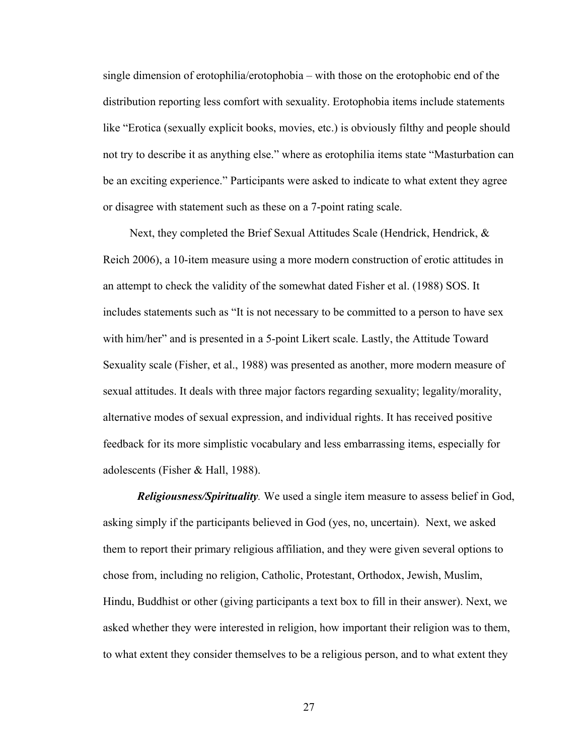single dimension of erotophilia/erotophobia – with those on the erotophobic end of the distribution reporting less comfort with sexuality. Erotophobia items include statements like "Erotica (sexually explicit books, movies, etc.) is obviously filthy and people should not try to describe it as anything else." where as erotophilia items state "Masturbation can be an exciting experience." Participants were asked to indicate to what extent they agree or disagree with statement such as these on a 7-point rating scale.

Next, they completed the Brief Sexual Attitudes Scale (Hendrick, Hendrick, & Reich 2006), a 10-item measure using a more modern construction of erotic attitudes in an attempt to check the validity of the somewhat dated Fisher et al. (1988) SOS. It includes statements such as "It is not necessary to be committed to a person to have sex with him/her" and is presented in a 5-point Likert scale. Lastly, the Attitude Toward Sexuality scale (Fisher, et al., 1988) was presented as another, more modern measure of sexual attitudes. It deals with three major factors regarding sexuality; legality/morality, alternative modes of sexual expression, and individual rights. It has received positive feedback for its more simplistic vocabulary and less embarrassing items, especially for adolescents (Fisher & Hall, 1988).

*Religiousness/Spirituality.* We used a single item measure to assess belief in God, asking simply if the participants believed in God (yes, no, uncertain). Next, we asked them to report their primary religious affiliation, and they were given several options to chose from, including no religion, Catholic, Protestant, Orthodox, Jewish, Muslim, Hindu, Buddhist or other (giving participants a text box to fill in their answer). Next, we asked whether they were interested in religion, how important their religion was to them, to what extent they consider themselves to be a religious person, and to what extent they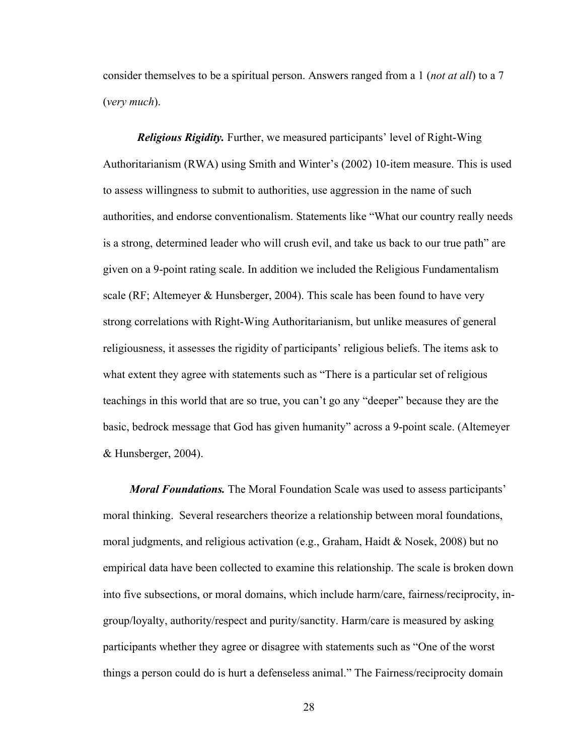consider themselves to be a spiritual person. Answers ranged from a 1 (*not at all*) to a 7 (*very much*).

*Religious Rigidity.* Further, we measured participants' level of Right-Wing Authoritarianism (RWA) using Smith and Winter's (2002) 10-item measure. This is used to assess willingness to submit to authorities, use aggression in the name of such authorities, and endorse conventionalism. Statements like "What our country really needs is a strong, determined leader who will crush evil, and take us back to our true path" are given on a 9-point rating scale. In addition we included the Religious Fundamentalism scale (RF; Altemeyer & Hunsberger, 2004). This scale has been found to have very strong correlations with Right-Wing Authoritarianism, but unlike measures of general religiousness, it assesses the rigidity of participants' religious beliefs. The items ask to what extent they agree with statements such as "There is a particular set of religious teachings in this world that are so true, you can't go any "deeper" because they are the basic, bedrock message that God has given humanity" across a 9-point scale. (Altemeyer & Hunsberger, 2004).

*Moral Foundations.* The Moral Foundation Scale was used to assess participants' moral thinking. Several researchers theorize a relationship between moral foundations, moral judgments, and religious activation (e.g., Graham, Haidt & Nosek, 2008) but no empirical data have been collected to examine this relationship. The scale is broken down into five subsections, or moral domains, which include harm/care, fairness/reciprocity, ingroup/loyalty, authority/respect and purity/sanctity. Harm/care is measured by asking participants whether they agree or disagree with statements such as "One of the worst things a person could do is hurt a defenseless animal." The Fairness/reciprocity domain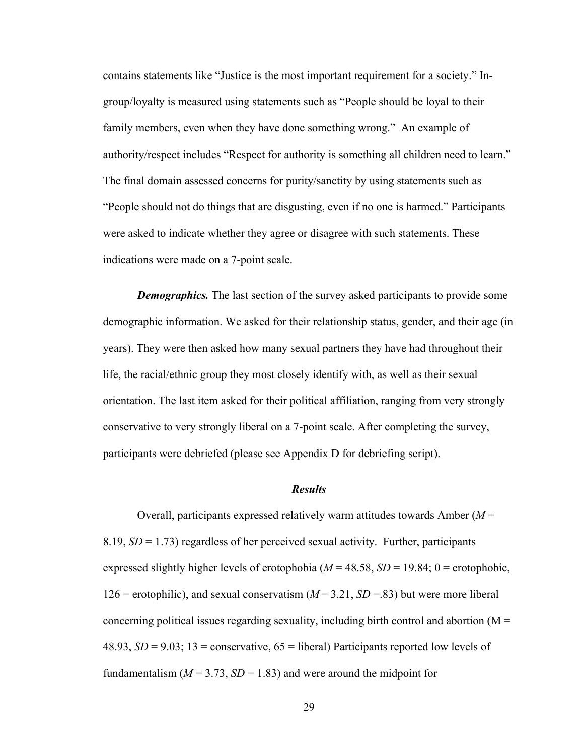contains statements like "Justice is the most important requirement for a society." Ingroup/loyalty is measured using statements such as "People should be loyal to their family members, even when they have done something wrong." An example of authority/respect includes "Respect for authority is something all children need to learn." The final domain assessed concerns for purity/sanctity by using statements such as "People should not do things that are disgusting, even if no one is harmed." Participants were asked to indicate whether they agree or disagree with such statements. These indications were made on a 7-point scale.

*Demographics.* The last section of the survey asked participants to provide some demographic information. We asked for their relationship status, gender, and their age (in years). They were then asked how many sexual partners they have had throughout their life, the racial/ethnic group they most closely identify with, as well as their sexual orientation. The last item asked for their political affiliation, ranging from very strongly conservative to very strongly liberal on a 7-point scale. After completing the survey, participants were debriefed (please see Appendix D for debriefing script).

# *Results*

Overall, participants expressed relatively warm attitudes towards Amber (*M* = 8.19, *SD* = 1.73) regardless of her perceived sexual activity. Further, participants expressed slightly higher levels of erotophobia ( $M = 48.58$ ,  $SD = 19.84$ ; 0 = erotophobic, 126 = erotophilic), and sexual conservatism  $(M = 3.21, SD = .83)$  but were more liberal concerning political issues regarding sexuality, including birth control and abortion ( $M =$ 48.93,  $SD = 9.03$ ; 13 = conservative,  $65$  = liberal) Participants reported low levels of fundamentalism  $(M = 3.73, SD = 1.83)$  and were around the midpoint for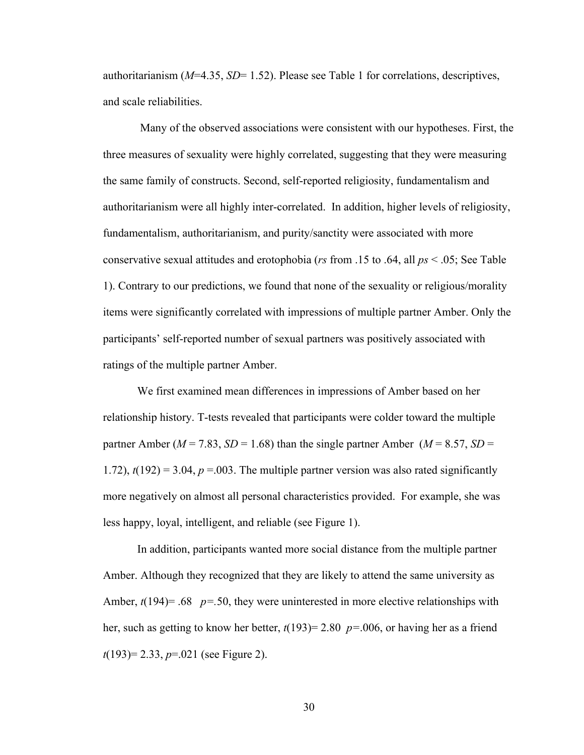authoritarianism (*M*=4.35, *SD*= 1.52). Please see Table 1 for correlations, descriptives, and scale reliabilities.

Many of the observed associations were consistent with our hypotheses. First, the three measures of sexuality were highly correlated, suggesting that they were measuring the same family of constructs. Second, self-reported religiosity, fundamentalism and authoritarianism were all highly inter-correlated. In addition, higher levels of religiosity, fundamentalism, authoritarianism, and purity/sanctity were associated with more conservative sexual attitudes and erotophobia (*rs* from .15 to .64, all *ps* < .05; See Table 1). Contrary to our predictions, we found that none of the sexuality or religious/morality items were significantly correlated with impressions of multiple partner Amber. Only the participants' self-reported number of sexual partners was positively associated with ratings of the multiple partner Amber.

We first examined mean differences in impressions of Amber based on her relationship history. T-tests revealed that participants were colder toward the multiple partner Amber ( $M = 7.83$ ,  $SD = 1.68$ ) than the single partner Amber ( $M = 8.57$ ,  $SD =$ 1.72),  $t(192) = 3.04$ ,  $p = 0.003$ . The multiple partner version was also rated significantly more negatively on almost all personal characteristics provided. For example, she was less happy, loyal, intelligent, and reliable (see Figure 1).

In addition, participants wanted more social distance from the multiple partner Amber. Although they recognized that they are likely to attend the same university as Amber,  $t(194)$ = .68  $p=$  .50, they were uninterested in more elective relationships with her, such as getting to know her better, *t*(193)= 2.80 *p=*.006, or having her as a friend *t*(193)= 2.33, *p*=.021 (see Figure 2).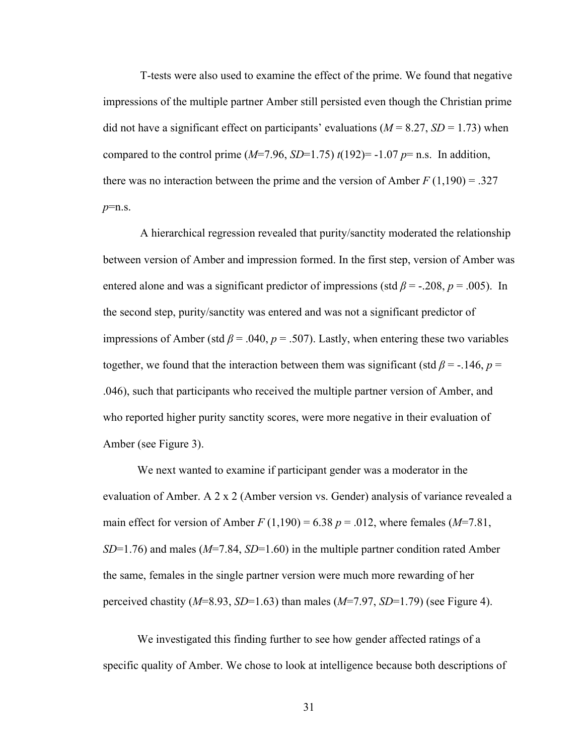T-tests were also used to examine the effect of the prime. We found that negative impressions of the multiple partner Amber still persisted even though the Christian prime did not have a significant effect on participants' evaluations  $(M = 8.27, SD = 1.73)$  when compared to the control prime  $(M=7.96, SD=1.75) t(192) = -1.07 p = n.s.$  In addition, there was no interaction between the prime and the version of Amber  $F(1,190) = .327$ *p*=n.s.

A hierarchical regression revealed that purity/sanctity moderated the relationship between version of Amber and impression formed. In the first step, version of Amber was entered alone and was a significant predictor of impressions (std  $\beta$  = -.208,  $p$  = .005). In the second step, purity/sanctity was entered and was not a significant predictor of impressions of Amber (std  $\beta$  = .040,  $p$  = .507). Lastly, when entering these two variables together, we found that the interaction between them was significant (std  $\beta$  = -.146, *p* = .046), such that participants who received the multiple partner version of Amber, and who reported higher purity sanctity scores, were more negative in their evaluation of Amber (see Figure 3).

We next wanted to examine if participant gender was a moderator in the evaluation of Amber. A 2 x 2 (Amber version vs. Gender) analysis of variance revealed a main effect for version of Amber  $F(1,190) = 6.38$   $p = .012$ , where females (*M*=7.81, *SD*=1.76) and males (*M*=7.84, *SD*=1.60) in the multiple partner condition rated Amber the same, females in the single partner version were much more rewarding of her perceived chastity (*M*=8.93, *SD*=1.63) than males (*M*=7.97, *SD*=1.79) (see Figure 4).

We investigated this finding further to see how gender affected ratings of a specific quality of Amber. We chose to look at intelligence because both descriptions of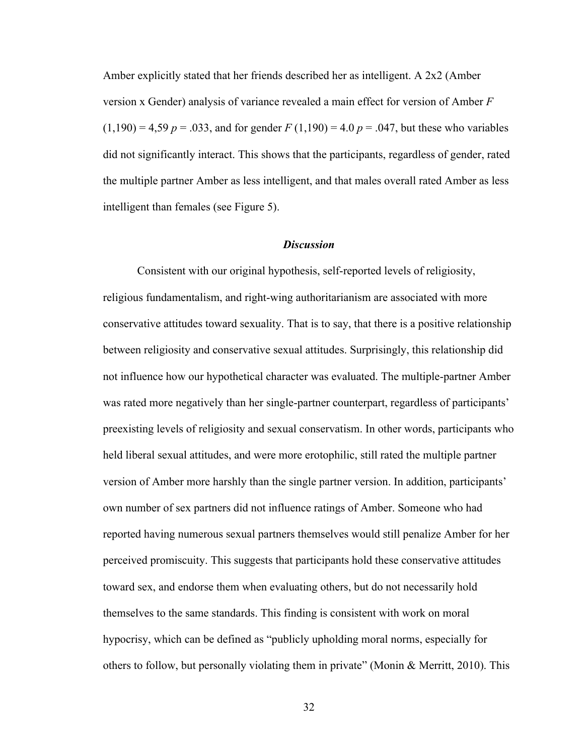Amber explicitly stated that her friends described her as intelligent. A 2x2 (Amber version x Gender) analysis of variance revealed a main effect for version of Amber *F*   $(1,190) = 4,59$  *p* = .033, and for gender *F*  $(1,190) = 4.0$  *p* = .047, but these who variables did not significantly interact. This shows that the participants, regardless of gender, rated the multiple partner Amber as less intelligent, and that males overall rated Amber as less intelligent than females (see Figure 5).

## *Discussion*

Consistent with our original hypothesis, self-reported levels of religiosity, religious fundamentalism, and right-wing authoritarianism are associated with more conservative attitudes toward sexuality. That is to say, that there is a positive relationship between religiosity and conservative sexual attitudes. Surprisingly, this relationship did not influence how our hypothetical character was evaluated. The multiple-partner Amber was rated more negatively than her single-partner counterpart, regardless of participants' preexisting levels of religiosity and sexual conservatism. In other words, participants who held liberal sexual attitudes, and were more erotophilic, still rated the multiple partner version of Amber more harshly than the single partner version. In addition, participants' own number of sex partners did not influence ratings of Amber. Someone who had reported having numerous sexual partners themselves would still penalize Amber for her perceived promiscuity. This suggests that participants hold these conservative attitudes toward sex, and endorse them when evaluating others, but do not necessarily hold themselves to the same standards. This finding is consistent with work on moral hypocrisy, which can be defined as "publicly upholding moral norms, especially for others to follow, but personally violating them in private" (Monin & Merritt, 2010). This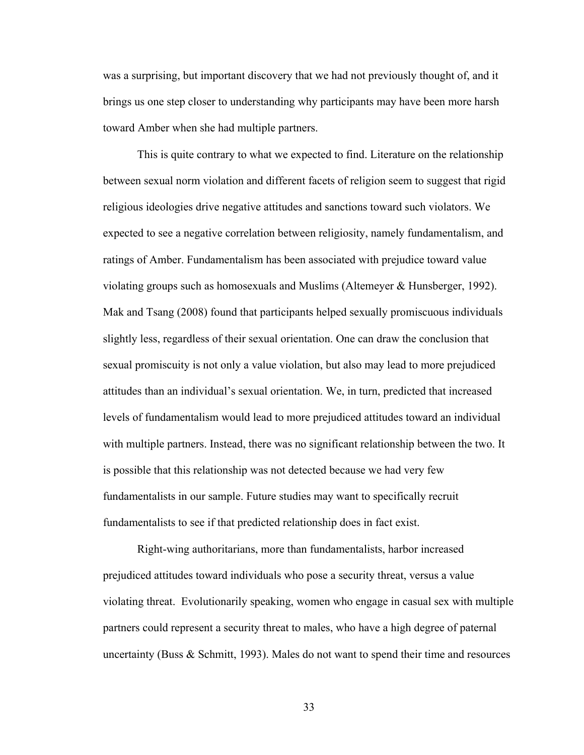was a surprising, but important discovery that we had not previously thought of, and it brings us one step closer to understanding why participants may have been more harsh toward Amber when she had multiple partners.

This is quite contrary to what we expected to find. Literature on the relationship between sexual norm violation and different facets of religion seem to suggest that rigid religious ideologies drive negative attitudes and sanctions toward such violators. We expected to see a negative correlation between religiosity, namely fundamentalism, and ratings of Amber. Fundamentalism has been associated with prejudice toward value violating groups such as homosexuals and Muslims (Altemeyer & Hunsberger, 1992). Mak and Tsang (2008) found that participants helped sexually promiscuous individuals slightly less, regardless of their sexual orientation. One can draw the conclusion that sexual promiscuity is not only a value violation, but also may lead to more prejudiced attitudes than an individual's sexual orientation. We, in turn, predicted that increased levels of fundamentalism would lead to more prejudiced attitudes toward an individual with multiple partners. Instead, there was no significant relationship between the two. It is possible that this relationship was not detected because we had very few fundamentalists in our sample. Future studies may want to specifically recruit fundamentalists to see if that predicted relationship does in fact exist.

Right-wing authoritarians, more than fundamentalists, harbor increased prejudiced attitudes toward individuals who pose a security threat, versus a value violating threat. Evolutionarily speaking, women who engage in casual sex with multiple partners could represent a security threat to males, who have a high degree of paternal uncertainty (Buss & Schmitt, 1993). Males do not want to spend their time and resources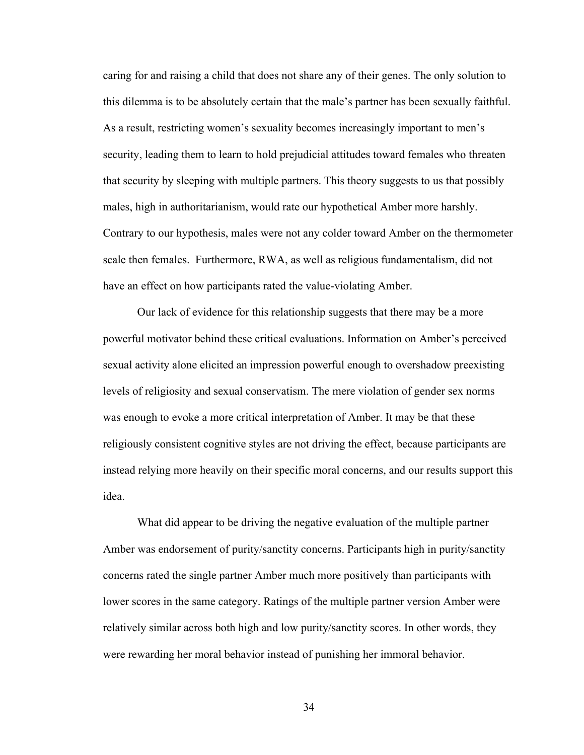caring for and raising a child that does not share any of their genes. The only solution to this dilemma is to be absolutely certain that the male's partner has been sexually faithful. As a result, restricting women's sexuality becomes increasingly important to men's security, leading them to learn to hold prejudicial attitudes toward females who threaten that security by sleeping with multiple partners. This theory suggests to us that possibly males, high in authoritarianism, would rate our hypothetical Amber more harshly. Contrary to our hypothesis, males were not any colder toward Amber on the thermometer scale then females. Furthermore, RWA, as well as religious fundamentalism, did not have an effect on how participants rated the value-violating Amber.

Our lack of evidence for this relationship suggests that there may be a more powerful motivator behind these critical evaluations. Information on Amber's perceived sexual activity alone elicited an impression powerful enough to overshadow preexisting levels of religiosity and sexual conservatism. The mere violation of gender sex norms was enough to evoke a more critical interpretation of Amber. It may be that these religiously consistent cognitive styles are not driving the effect, because participants are instead relying more heavily on their specific moral concerns, and our results support this idea.

What did appear to be driving the negative evaluation of the multiple partner Amber was endorsement of purity/sanctity concerns. Participants high in purity/sanctity concerns rated the single partner Amber much more positively than participants with lower scores in the same category. Ratings of the multiple partner version Amber were relatively similar across both high and low purity/sanctity scores. In other words, they were rewarding her moral behavior instead of punishing her immoral behavior.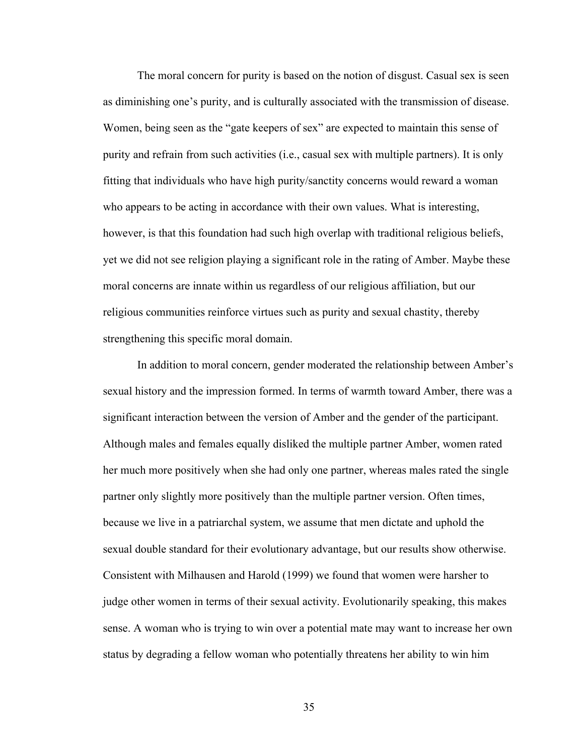The moral concern for purity is based on the notion of disgust. Casual sex is seen as diminishing one's purity, and is culturally associated with the transmission of disease. Women, being seen as the "gate keepers of sex" are expected to maintain this sense of purity and refrain from such activities (i.e., casual sex with multiple partners). It is only fitting that individuals who have high purity/sanctity concerns would reward a woman who appears to be acting in accordance with their own values. What is interesting, however, is that this foundation had such high overlap with traditional religious beliefs, yet we did not see religion playing a significant role in the rating of Amber. Maybe these moral concerns are innate within us regardless of our religious affiliation, but our religious communities reinforce virtues such as purity and sexual chastity, thereby strengthening this specific moral domain.

In addition to moral concern, gender moderated the relationship between Amber's sexual history and the impression formed. In terms of warmth toward Amber, there was a significant interaction between the version of Amber and the gender of the participant. Although males and females equally disliked the multiple partner Amber, women rated her much more positively when she had only one partner, whereas males rated the single partner only slightly more positively than the multiple partner version. Often times, because we live in a patriarchal system, we assume that men dictate and uphold the sexual double standard for their evolutionary advantage, but our results show otherwise. Consistent with Milhausen and Harold (1999) we found that women were harsher to judge other women in terms of their sexual activity. Evolutionarily speaking, this makes sense. A woman who is trying to win over a potential mate may want to increase her own status by degrading a fellow woman who potentially threatens her ability to win him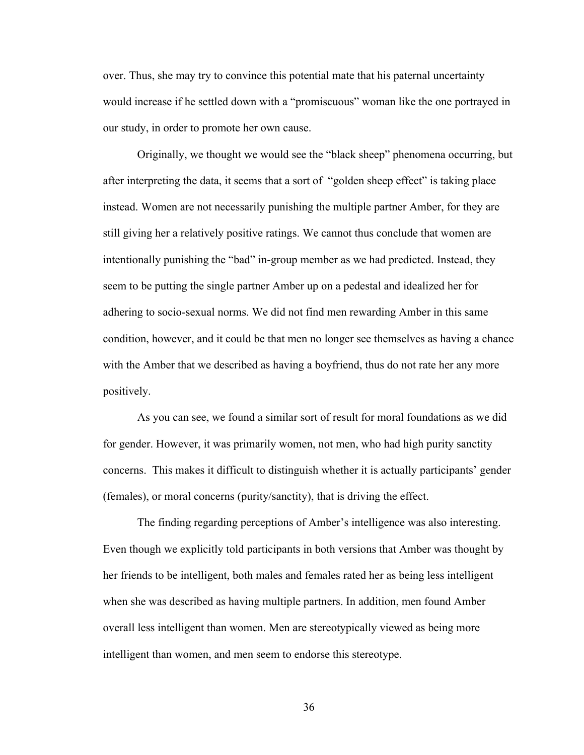over. Thus, she may try to convince this potential mate that his paternal uncertainty would increase if he settled down with a "promiscuous" woman like the one portrayed in our study, in order to promote her own cause.

Originally, we thought we would see the "black sheep" phenomena occurring, but after interpreting the data, it seems that a sort of "golden sheep effect" is taking place instead. Women are not necessarily punishing the multiple partner Amber, for they are still giving her a relatively positive ratings. We cannot thus conclude that women are intentionally punishing the "bad" in-group member as we had predicted. Instead, they seem to be putting the single partner Amber up on a pedestal and idealized her for adhering to socio-sexual norms. We did not find men rewarding Amber in this same condition, however, and it could be that men no longer see themselves as having a chance with the Amber that we described as having a boyfriend, thus do not rate her any more positively.

As you can see, we found a similar sort of result for moral foundations as we did for gender. However, it was primarily women, not men, who had high purity sanctity concerns. This makes it difficult to distinguish whether it is actually participants' gender (females), or moral concerns (purity/sanctity), that is driving the effect.

The finding regarding perceptions of Amber's intelligence was also interesting. Even though we explicitly told participants in both versions that Amber was thought by her friends to be intelligent, both males and females rated her as being less intelligent when she was described as having multiple partners. In addition, men found Amber overall less intelligent than women. Men are stereotypically viewed as being more intelligent than women, and men seem to endorse this stereotype.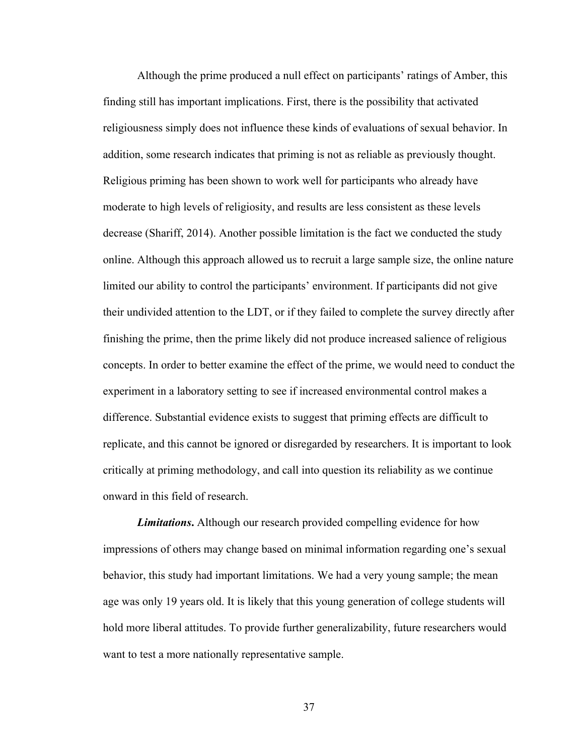Although the prime produced a null effect on participants' ratings of Amber, this finding still has important implications. First, there is the possibility that activated religiousness simply does not influence these kinds of evaluations of sexual behavior. In addition, some research indicates that priming is not as reliable as previously thought. Religious priming has been shown to work well for participants who already have moderate to high levels of religiosity, and results are less consistent as these levels decrease (Shariff, 2014). Another possible limitation is the fact we conducted the study online. Although this approach allowed us to recruit a large sample size, the online nature limited our ability to control the participants' environment. If participants did not give their undivided attention to the LDT, or if they failed to complete the survey directly after finishing the prime, then the prime likely did not produce increased salience of religious concepts. In order to better examine the effect of the prime, we would need to conduct the experiment in a laboratory setting to see if increased environmental control makes a difference. Substantial evidence exists to suggest that priming effects are difficult to replicate, and this cannot be ignored or disregarded by researchers. It is important to look critically at priming methodology, and call into question its reliability as we continue onward in this field of research.

*Limitations***.** Although our research provided compelling evidence for how impressions of others may change based on minimal information regarding one's sexual behavior, this study had important limitations. We had a very young sample; the mean age was only 19 years old. It is likely that this young generation of college students will hold more liberal attitudes. To provide further generalizability, future researchers would want to test a more nationally representative sample.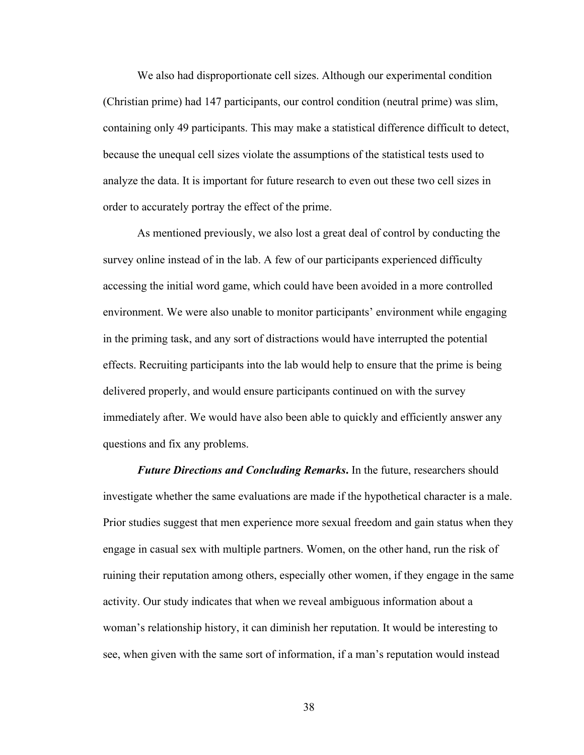We also had disproportionate cell sizes. Although our experimental condition (Christian prime) had 147 participants, our control condition (neutral prime) was slim, containing only 49 participants. This may make a statistical difference difficult to detect, because the unequal cell sizes violate the assumptions of the statistical tests used to analyze the data. It is important for future research to even out these two cell sizes in order to accurately portray the effect of the prime.

As mentioned previously, we also lost a great deal of control by conducting the survey online instead of in the lab. A few of our participants experienced difficulty accessing the initial word game, which could have been avoided in a more controlled environment. We were also unable to monitor participants' environment while engaging in the priming task, and any sort of distractions would have interrupted the potential effects. Recruiting participants into the lab would help to ensure that the prime is being delivered properly, and would ensure participants continued on with the survey immediately after. We would have also been able to quickly and efficiently answer any questions and fix any problems.

*Future Directions and Concluding Remarks***.** In the future, researchers should investigate whether the same evaluations are made if the hypothetical character is a male. Prior studies suggest that men experience more sexual freedom and gain status when they engage in casual sex with multiple partners. Women, on the other hand, run the risk of ruining their reputation among others, especially other women, if they engage in the same activity. Our study indicates that when we reveal ambiguous information about a woman's relationship history, it can diminish her reputation. It would be interesting to see, when given with the same sort of information, if a man's reputation would instead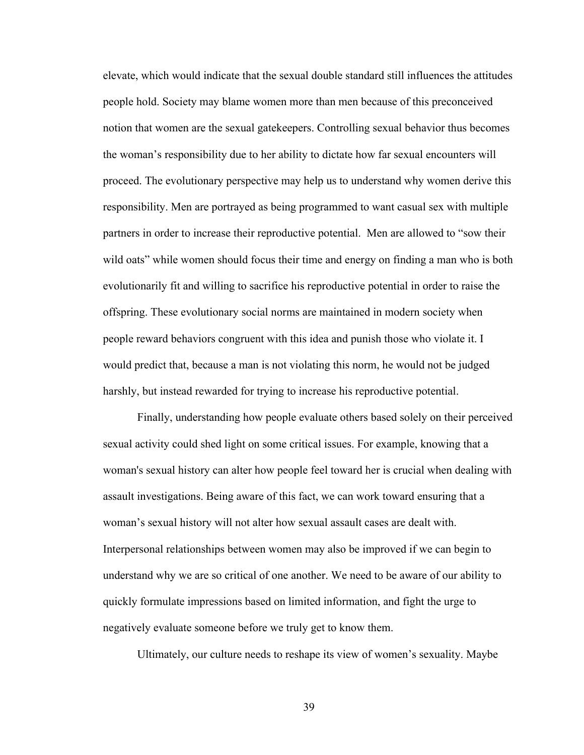elevate, which would indicate that the sexual double standard still influences the attitudes people hold. Society may blame women more than men because of this preconceived notion that women are the sexual gatekeepers. Controlling sexual behavior thus becomes the woman's responsibility due to her ability to dictate how far sexual encounters will proceed. The evolutionary perspective may help us to understand why women derive this responsibility. Men are portrayed as being programmed to want casual sex with multiple partners in order to increase their reproductive potential. Men are allowed to "sow their wild oats" while women should focus their time and energy on finding a man who is both evolutionarily fit and willing to sacrifice his reproductive potential in order to raise the offspring. These evolutionary social norms are maintained in modern society when people reward behaviors congruent with this idea and punish those who violate it. I would predict that, because a man is not violating this norm, he would not be judged harshly, but instead rewarded for trying to increase his reproductive potential.

Finally, understanding how people evaluate others based solely on their perceived sexual activity could shed light on some critical issues. For example, knowing that a woman's sexual history can alter how people feel toward her is crucial when dealing with assault investigations. Being aware of this fact, we can work toward ensuring that a woman's sexual history will not alter how sexual assault cases are dealt with. Interpersonal relationships between women may also be improved if we can begin to understand why we are so critical of one another. We need to be aware of our ability to quickly formulate impressions based on limited information, and fight the urge to negatively evaluate someone before we truly get to know them.

Ultimately, our culture needs to reshape its view of women's sexuality. Maybe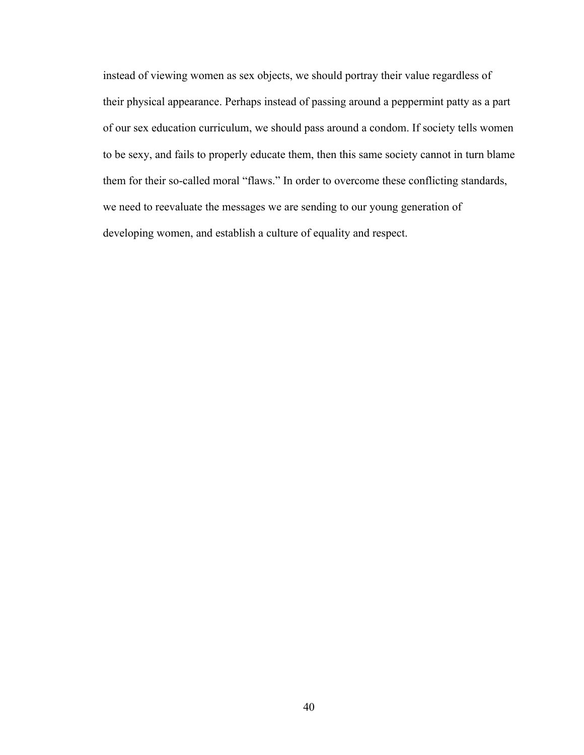instead of viewing women as sex objects, we should portray their value regardless of their physical appearance. Perhaps instead of passing around a peppermint patty as a part of our sex education curriculum, we should pass around a condom. If society tells women to be sexy, and fails to properly educate them, then this same society cannot in turn blame them for their so-called moral "flaws." In order to overcome these conflicting standards, we need to reevaluate the messages we are sending to our young generation of developing women, and establish a culture of equality and respect.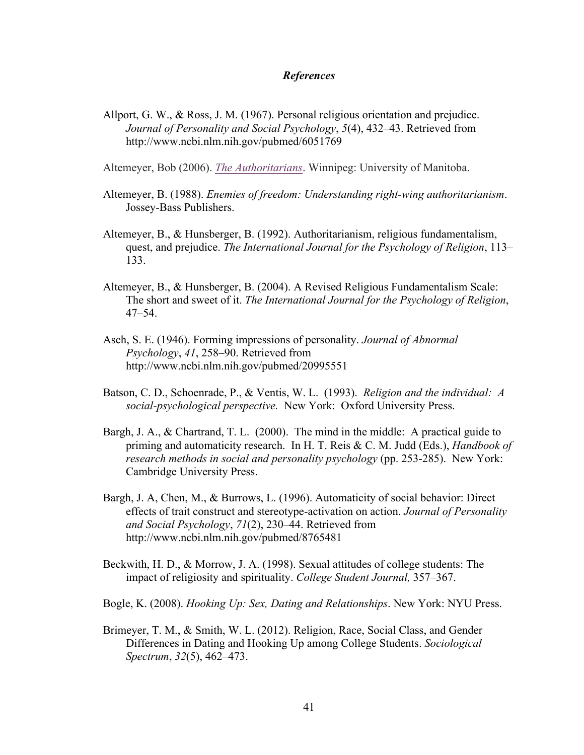## *References*

Allport, G. W., & Ross, J. M. (1967). Personal religious orientation and prejudice. *Journal of Personality and Social Psychology*, *5*(4), 432–43. Retrieved from http://www.ncbi.nlm.nih.gov/pubmed/6051769

Altemeyer, Bob (2006). *The Authoritarians*. Winnipeg: University of Manitoba.

- Altemeyer, B. (1988). *Enemies of freedom: Understanding right-wing authoritarianism*. Jossey-Bass Publishers.
- Altemeyer, B., & Hunsberger, B. (1992). Authoritarianism, religious fundamentalism, quest, and prejudice. *The International Journal for the Psychology of Religion*, 113– 133.
- Altemeyer, B., & Hunsberger, B. (2004). A Revised Religious Fundamentalism Scale: The short and sweet of it. *The International Journal for the Psychology of Religion*, 47–54.
- Asch, S. E. (1946). Forming impressions of personality. *Journal of Abnormal Psychology*, *41*, 258–90. Retrieved from http://www.ncbi.nlm.nih.gov/pubmed/20995551
- Batson, C. D., Schoenrade, P., & Ventis, W. L. (1993). *Religion and the individual: A social-psychological perspective.* New York: Oxford University Press.
- Bargh, J. A., & Chartrand, T. L. (2000). The mind in the middle: A practical guide to priming and automaticity research. In H. T. Reis & C. M. Judd (Eds.), *Handbook of research methods in social and personality psychology* (pp. 253-285). New York: Cambridge University Press.
- Bargh, J. A, Chen, M., & Burrows, L. (1996). Automaticity of social behavior: Direct effects of trait construct and stereotype-activation on action. *Journal of Personality and Social Psychology*, *71*(2), 230–44. Retrieved from http://www.ncbi.nlm.nih.gov/pubmed/8765481
- Beckwith, H. D., & Morrow, J. A. (1998). Sexual attitudes of college students: The impact of religiosity and spirituality. *College Student Journal,* 357–367.
- Bogle, K. (2008). *Hooking Up: Sex, Dating and Relationships*. New York: NYU Press.
- Brimeyer, T. M., & Smith, W. L. (2012). Religion, Race, Social Class, and Gender Differences in Dating and Hooking Up among College Students. *Sociological Spectrum*, *32*(5), 462–473.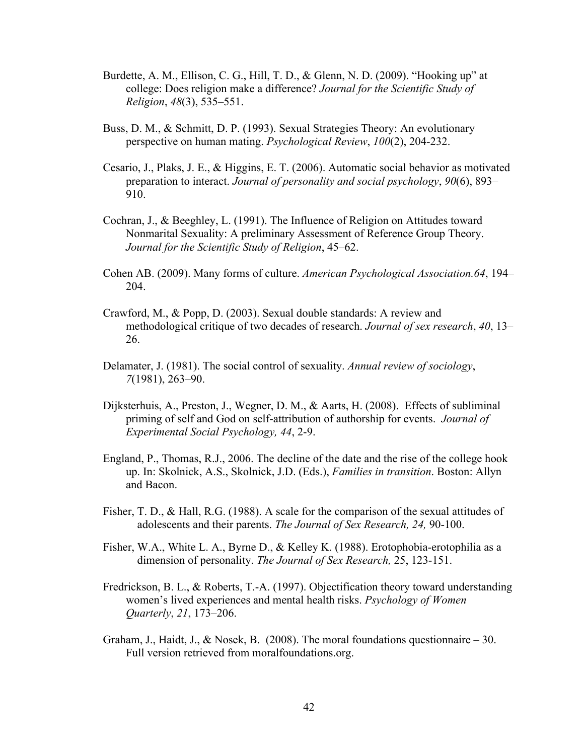- Burdette, A. M., Ellison, C. G., Hill, T. D., & Glenn, N. D. (2009). "Hooking up" at college: Does religion make a difference? *Journal for the Scientific Study of Religion*, *48*(3), 535–551.
- Buss, D. M., & Schmitt, D. P. (1993). Sexual Strategies Theory: An evolutionary perspective on human mating. *Psychological Review*, *100*(2), 204-232.
- Cesario, J., Plaks, J. E., & Higgins, E. T. (2006). Automatic social behavior as motivated preparation to interact. *Journal of personality and social psychology*, *90*(6), 893– 910.
- Cochran, J., & Beeghley, L. (1991). The Influence of Religion on Attitudes toward Nonmarital Sexuality: A preliminary Assessment of Reference Group Theory. *Journal for the Scientific Study of Religion*, 45–62.
- Cohen AB. (2009). Many forms of culture. *American Psychological Association.64*, 194– 204.
- Crawford, M., & Popp, D. (2003). Sexual double standards: A review and methodological critique of two decades of research. *Journal of sex research*, *40*, 13– 26.
- Delamater, J. (1981). The social control of sexuality. *Annual review of sociology*, *7*(1981), 263–90.
- Dijksterhuis, A., Preston, J., Wegner, D. M., & Aarts, H. (2008). Effects of subliminal priming of self and God on self-attribution of authorship for events. *Journal of Experimental Social Psychology, 44*, 2-9.
- England, P., Thomas, R.J., 2006. The decline of the date and the rise of the college hook up. In: Skolnick, A.S., Skolnick, J.D. (Eds.), *Families in transition*. Boston: Allyn and Bacon.
- Fisher, T. D., & Hall, R.G. (1988). A scale for the comparison of the sexual attitudes of adolescents and their parents. *The Journal of Sex Research, 24,* 90-100.
- Fisher, W.A., White L. A., Byrne D., & Kelley K. (1988). Erotophobia-erotophilia as a dimension of personality. *The Journal of Sex Research,* 25, 123-151.
- Fredrickson, B. L., & Roberts, T.-A. (1997). Objectification theory toward understanding women's lived experiences and mental health risks. *Psychology of Women Quarterly*, *21*, 173–206.
- Graham, J., Haidt, J., & Nosek, B. (2008). The moral foundations questionnaire  $-30$ . Full version retrieved from moralfoundations.org.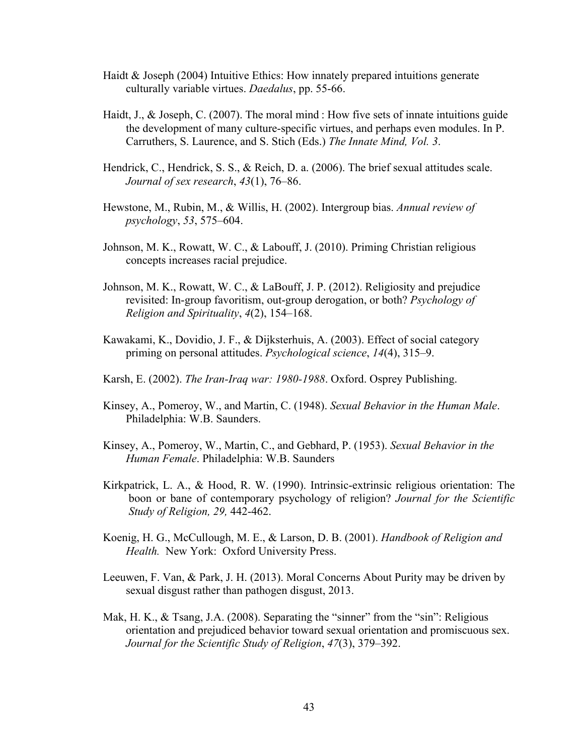- Haidt & Joseph (2004) Intuitive Ethics: How innately prepared intuitions generate culturally variable virtues. *Daedalus*, pp. 55-66.
- Haidt, J., & Joseph, C. (2007). The moral mind : How five sets of innate intuitions guide the development of many culture-specific virtues, and perhaps even modules. In P. Carruthers, S. Laurence, and S. Stich (Eds.) *The Innate Mind, Vol. 3*.
- Hendrick, C., Hendrick, S. S., & Reich, D. a. (2006). The brief sexual attitudes scale. *Journal of sex research*, *43*(1), 76–86.
- Hewstone, M., Rubin, M., & Willis, H. (2002). Intergroup bias. *Annual review of psychology*, *53*, 575–604.
- Johnson, M. K., Rowatt, W. C., & Labouff, J. (2010). Priming Christian religious concepts increases racial prejudice.
- Johnson, M. K., Rowatt, W. C., & LaBouff, J. P. (2012). Religiosity and prejudice revisited: In-group favoritism, out-group derogation, or both? *Psychology of Religion and Spirituality*, *4*(2), 154–168.
- Kawakami, K., Dovidio, J. F., & Dijksterhuis, A. (2003). Effect of social category priming on personal attitudes. *Psychological science*, *14*(4), 315–9.
- Karsh, E. (2002). *The Iran-Iraq war: 1980-1988*. Oxford. Osprey Publishing.
- Kinsey, A., Pomeroy, W., and Martin, C. (1948). *Sexual Behavior in the Human Male*. Philadelphia: W.B. Saunders.
- Kinsey, A., Pomeroy, W., Martin, C., and Gebhard, P. (1953). *Sexual Behavior in the Human Female*. Philadelphia: W.B. Saunders
- Kirkpatrick, L. A., & Hood, R. W. (1990). Intrinsic-extrinsic religious orientation: The boon or bane of contemporary psychology of religion? *Journal for the Scientific Study of Religion, 29,* 442-462.
- Koenig, H. G., McCullough, M. E., & Larson, D. B. (2001). *Handbook of Religion and Health.* New York: Oxford University Press.
- Leeuwen, F. Van, & Park, J. H. (2013). Moral Concerns About Purity may be driven by sexual disgust rather than pathogen disgust, 2013.
- Mak, H. K., & Tsang, J.A. (2008). Separating the "sinner" from the "sin": Religious orientation and prejudiced behavior toward sexual orientation and promiscuous sex. *Journal for the Scientific Study of Religion*, *47*(3), 379–392.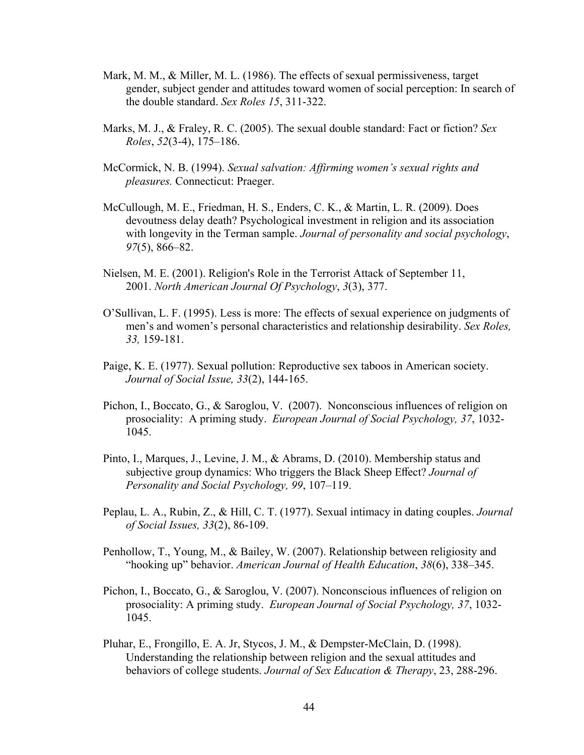- Mark, M. M., & Miller, M. L. (1986). The effects of sexual permissiveness, target gender, subject gender and attitudes toward women of social perception: In search of the double standard. *Sex Roles 15*, 311-322.
- Marks, M. J., & Fraley, R. C. (2005). The sexual double standard: Fact or fiction? *Sex Roles*, *52*(3-4), 175–186.
- McCormick, N. B. (1994). *Sexual salvation: Affirming women's sexual rights and pleasures.* Connecticut: Praeger.
- McCullough, M. E., Friedman, H. S., Enders, C. K., & Martin, L. R. (2009). Does devoutness delay death? Psychological investment in religion and its association with longevity in the Terman sample. *Journal of personality and social psychology*, *97*(5), 866–82.
- Nielsen, M. E. (2001). Religion's Role in the Terrorist Attack of September 11, 2001. *North American Journal Of Psychology*, *3*(3), 377.
- O'Sullivan, L. F. (1995). Less is more: The effects of sexual experience on judgments of men's and women's personal characteristics and relationship desirability. *Sex Roles, 33,* 159-181.
- Paige, K. E. (1977). Sexual pollution: Reproductive sex taboos in American society. *Journal of Social Issue, 33*(2), 144-165.
- Pichon, I., Boccato, G., & Saroglou, V. (2007). Nonconscious influences of religion on prosociality: A priming study. *European Journal of Social Psychology, 37*, 1032- 1045.
- Pinto, I., Marques, J., Levine, J. M., & Abrams, D. (2010). Membership status and subjective group dynamics: Who triggers the Black Sheep Effect? *Journal of Personality and Social Psychology, 99*, 107–119.
- Peplau, L. A., Rubin, Z., & Hill, C. T. (1977). Sexual intimacy in dating couples. *Journal of Social Issues, 33*(2), 86-109.
- Penhollow, T., Young, M., & Bailey, W. (2007). Relationship between religiosity and "hooking up" behavior. *American Journal of Health Education*, *38*(6), 338–345.
- Pichon, I., Boccato, G., & Saroglou, V. (2007). Nonconscious influences of religion on prosociality: A priming study. *European Journal of Social Psychology, 37*, 1032- 1045.
- Pluhar, E., Frongillo, E. A. Jr, Stycos, J. M., & Dempster-McClain, D. (1998). Understanding the relationship between religion and the sexual attitudes and behaviors of college students. *Journal of Sex Education & Therapy*, 23, 288-296.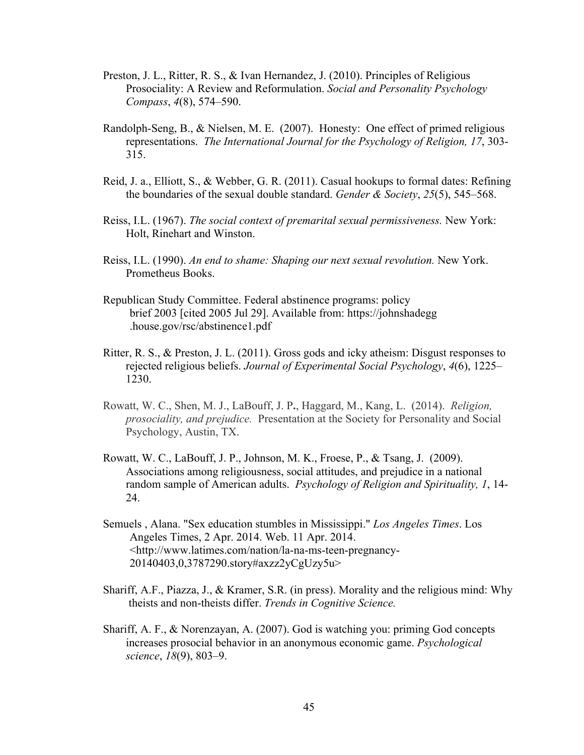- Preston, J. L., Ritter, R. S., & Ivan Hernandez, J. (2010). Principles of Religious Prosociality: A Review and Reformulation. *Social and Personality Psychology Compass*, *4*(8), 574–590.
- Randolph-Seng, B., & Nielsen, M. E. (2007). Honesty: One effect of primed religious representations. *The International Journal for the Psychology of Religion, 17*, 303- 315.
- Reid, J. a., Elliott, S., & Webber, G. R. (2011). Casual hookups to formal dates: Refining the boundaries of the sexual double standard. *Gender & Society*, *25*(5), 545–568.
- Reiss, I.L. (1967). *The social context of premarital sexual permissiveness.* New York: Holt, Rinehart and Winston.
- Reiss, I.L. (1990). *An end to shame: Shaping our next sexual revolution.* New York. Prometheus Books.
- Republican Study Committee. Federal abstinence programs: policy brief 2003 [cited 2005 Jul 29]. Available from: https://johnshadegg .house.gov/rsc/abstinence1.pdf
- Ritter, R. S., & Preston, J. L. (2011). Gross gods and icky atheism: Disgust responses to rejected religious beliefs. *Journal of Experimental Social Psychology*, *4*(6), 1225– 1230.
- Rowatt, W. C., Shen, M. J., LaBouff, J. P**.**, Haggard, M., Kang, L. (2014). *Religion, prosociality, and prejudice.* Presentation at the Society for Personality and Social Psychology, Austin, TX.
- Rowatt, W. C., LaBouff, J. P., Johnson, M. K., Froese, P., & Tsang, J. (2009). Associations among religiousness, social attitudes, and prejudice in a national random sample of American adults. *Psychology of Religion and Spirituality, 1*, 14- 24.
- Semuels , Alana. "Sex education stumbles in Mississippi." *Los Angeles Times*. Los Angeles Times, 2 Apr. 2014. Web. 11 Apr. 2014. <http://www.latimes.com/nation/la-na-ms-teen-pregnancy-20140403,0,3787290.story#axzz2yCgUzy5u>
- Shariff, A.F., Piazza, J., & Kramer, S.R. (in press). Morality and the religious mind: Why theists and non-theists differ. *Trends in Cognitive Science.*
- Shariff, A. F., & Norenzayan, A. (2007). God is watching you: priming God concepts increases prosocial behavior in an anonymous economic game. *Psychological science*, *18*(9), 803–9.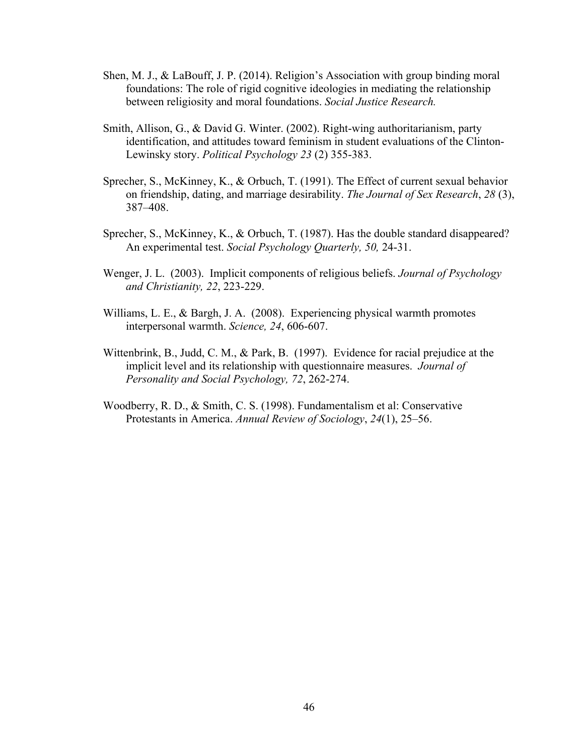- Shen, M. J., & LaBouff, J. P. (2014). Religion's Association with group binding moral foundations: The role of rigid cognitive ideologies in mediating the relationship between religiosity and moral foundations. *Social Justice Research.*
- Smith, Allison, G., & David G. Winter. (2002). Right-wing authoritarianism, party identification, and attitudes toward feminism in student evaluations of the Clinton-Lewinsky story. *Political Psychology 23* (2) 355-383.
- Sprecher, S., McKinney, K., & Orbuch, T. (1991). The Effect of current sexual behavior on friendship, dating, and marriage desirability. *The Journal of Sex Research*, *28* (3), 387–408.
- Sprecher, S., McKinney, K., & Orbuch, T. (1987). Has the double standard disappeared? An experimental test. *Social Psychology Quarterly, 50,* 24-31.
- Wenger, J. L. (2003). Implicit components of religious beliefs. *Journal of Psychology and Christianity, 22*, 223-229.
- Williams, L. E., & Bargh, J. A. (2008). Experiencing physical warmth promotes interpersonal warmth. *Science, 24*, 606-607.
- Wittenbrink, B., Judd, C. M., & Park, B. (1997). Evidence for racial prejudice at the implicit level and its relationship with questionnaire measures. *Journal of Personality and Social Psychology, 72*, 262-274.
- Woodberry, R. D., & Smith, C. S. (1998). Fundamentalism et al: Conservative Protestants in America. *Annual Review of Sociology*, *24*(1), 25–56.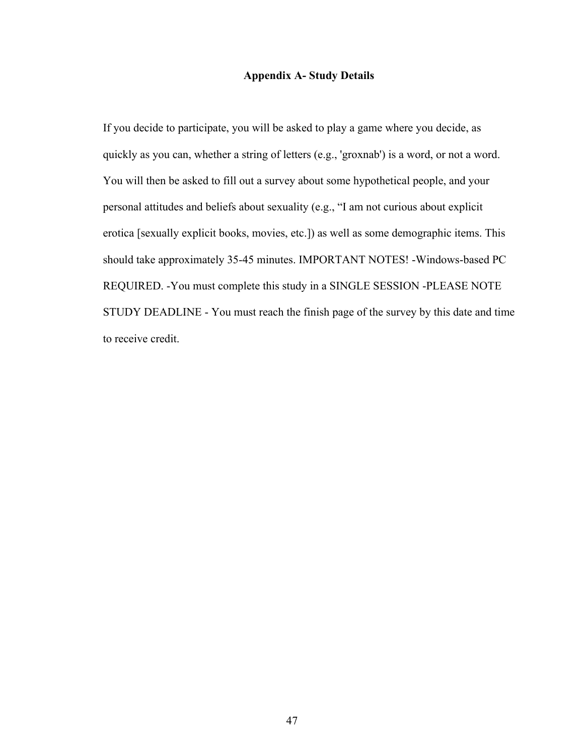## **Appendix A- Study Details**

If you decide to participate, you will be asked to play a game where you decide, as quickly as you can, whether a string of letters (e.g., 'groxnab') is a word, or not a word. You will then be asked to fill out a survey about some hypothetical people, and your personal attitudes and beliefs about sexuality (e.g., "I am not curious about explicit erotica [sexually explicit books, movies, etc.]) as well as some demographic items. This should take approximately 35-45 minutes. IMPORTANT NOTES! -Windows-based PC REQUIRED. -You must complete this study in a SINGLE SESSION -PLEASE NOTE STUDY DEADLINE - You must reach the finish page of the survey by this date and time to receive credit.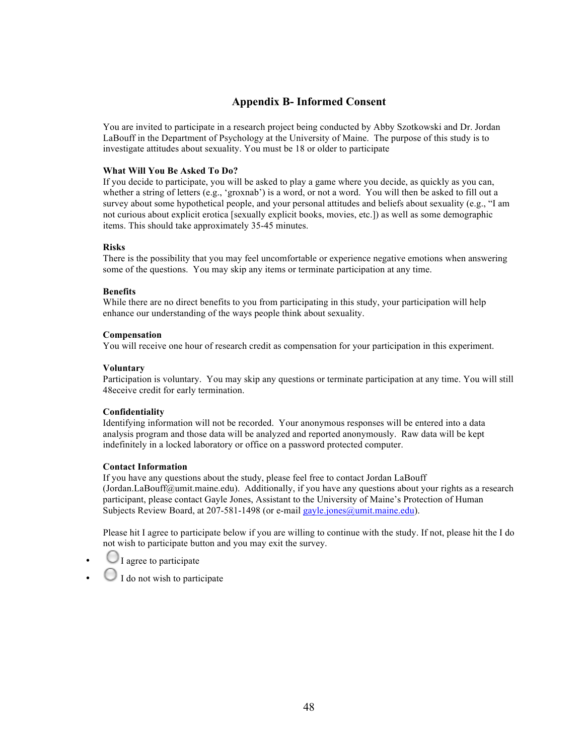## **Appendix B- Informed Consent**

You are invited to participate in a research project being conducted by Abby Szotkowski and Dr. Jordan LaBouff in the Department of Psychology at the University of Maine. The purpose of this study is to investigate attitudes about sexuality. You must be 18 or older to participate

## **What Will You Be Asked To Do?**

If you decide to participate, you will be asked to play a game where you decide, as quickly as you can, whether a string of letters (e.g., 'groxnab') is a word, or not a word. You will then be asked to fill out a survey about some hypothetical people, and your personal attitudes and beliefs about sexuality (e.g., "I am not curious about explicit erotica [sexually explicit books, movies, etc.]) as well as some demographic items. This should take approximately 35-45 minutes.

## **Risks**

There is the possibility that you may feel uncomfortable or experience negative emotions when answering some of the questions. You may skip any items or terminate participation at any time.

### **Benefits**

While there are no direct benefits to you from participating in this study, your participation will help enhance our understanding of the ways people think about sexuality.

### **Compensation**

You will receive one hour of research credit as compensation for your participation in this experiment.

### **Voluntary**

Participation is voluntary. You may skip any questions or terminate participation at any time. You will still 48eceive credit for early termination.

### **Confidentiality**

Identifying information will not be recorded. Your anonymous responses will be entered into a data analysis program and those data will be analyzed and reported anonymously. Raw data will be kept indefinitely in a locked laboratory or office on a password protected computer.

### **Contact Information**

If you have any questions about the study, please feel free to contact Jordan LaBouff (Jordan.LaBouff@umit.maine.edu). Additionally, if you have any questions about your rights as a research participant, please contact Gayle Jones, Assistant to the University of Maine's Protection of Human Subjects Review Board, at 207-581-1498 (or e-mail gayle.jones@umit.maine.edu).

Please hit I agree to participate below if you are willing to continue with the study. If not, please hit the I do not wish to participate button and you may exit the survey.

- I agree to participate
- $\bigcup$  I do not wish to participate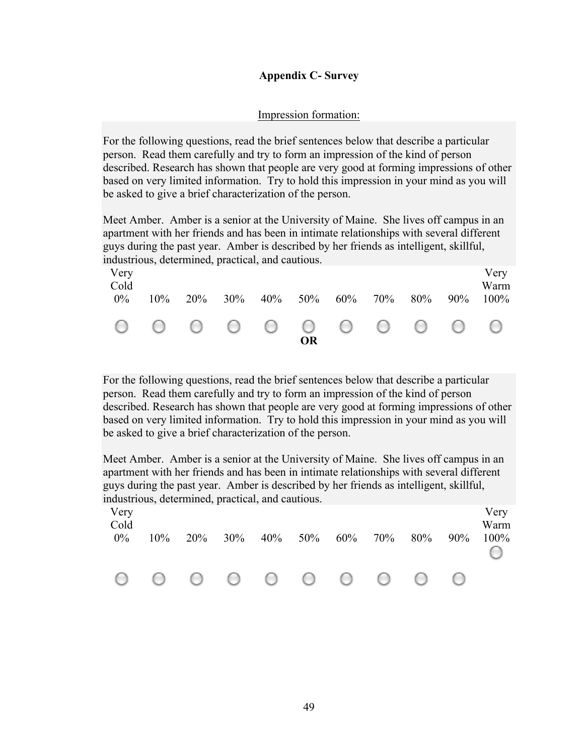# **Appendix C- Survey**

# Impression formation:

For the following questions, read the brief sentences below that describe a particular person. Read them carefully and try to form an impression of the kind of person described. Research has shown that people are very good at forming impressions of other based on very limited information. Try to hold this impression in your mind as you will be asked to give a brief characterization of the person.

Meet Amber. Amber is a senior at the University of Maine. She lives off campus in an apartment with her friends and has been in intimate relationships with several different guys during the past year. Amber is described by her friends as intelligent, skillful, industrious, determined, practical, and cautious.

| Very<br>Cold<br>$0\%$ | $10\%$ | $20\%$ | . . | $30\%$ $40\%$ $50\%$ $60\%$ $70\%$ |    |  | 80% | $90\%$ | Very<br>Warm<br>$100\%$ |
|-----------------------|--------|--------|-----|------------------------------------|----|--|-----|--------|-------------------------|
|                       |        |        |     | 0 0 0 0 0 0 0 0 0 0 0              | OR |  |     |        |                         |

For the following questions, read the brief sentences below that describe a particular person. Read them carefully and try to form an impression of the kind of person described. Research has shown that people are very good at forming impressions of other based on very limited information. Try to hold this impression in your mind as you will be asked to give a brief characterization of the person.

Meet Amber. Amber is a senior at the University of Maine. She lives off campus in an apartment with her friends and has been in intimate relationships with several different guys during the past year. Amber is described by her friends as intelligent, skillful, industrious, determined, practical, and cautious.

| Very<br>Cold<br>$0\%$ | 10% | 20% | 30% | $40\%$ 50% 60% | 70% | 80% | 90% | Very<br>Warm<br>100% |
|-----------------------|-----|-----|-----|----------------|-----|-----|-----|----------------------|
|                       |     |     |     | 000000000      |     |     |     |                      |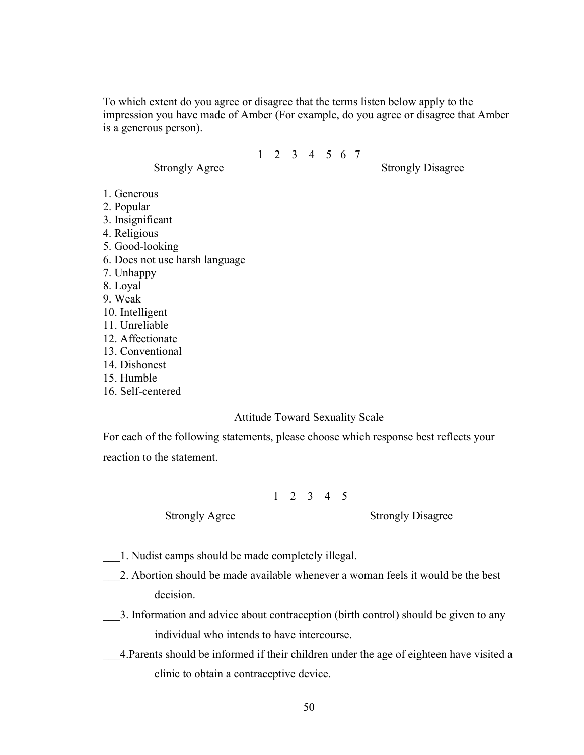To which extent do you agree or disagree that the terms listen below apply to the impression you have made of Amber (For example, do you agree or disagree that Amber is a generous person).

1 2 3 4 5 6 7

Strongly Agree Strongly Disagree

- 1. Generous
- 2. Popular
- 3. Insignificant
- 4. Religious
- 5. Good-looking
- 6. Does not use harsh language
- 7. Unhappy
- 8. Loyal
- 9. Weak
- 10. Intelligent
- 11. Unreliable
- 12. Affectionate
- 13. Conventional
- 14. Dishonest
- 15. Humble
- 16. Self-centered

## Attitude Toward Sexuality Scale

For each of the following statements, please choose which response best reflects your reaction to the statement.

# 1 2 3 4 5

Strongly Agree Strongly Disagree

- \_\_\_1. Nudist camps should be made completely illegal.
- \_\_\_2. Abortion should be made available whenever a woman feels it would be the best decision.
- \_\_\_3. Information and advice about contraception (birth control) should be given to any individual who intends to have intercourse.
- \_\_\_4.Parents should be informed if their children under the age of eighteen have visited a clinic to obtain a contraceptive device.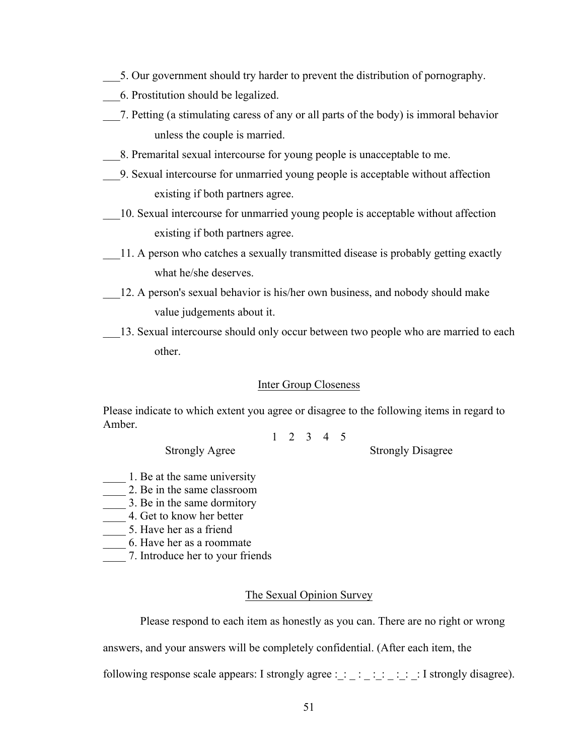- \_\_\_5. Our government should try harder to prevent the distribution of pornography.
- \_\_\_6. Prostitution should be legalized.
- \_\_\_7. Petting (a stimulating caress of any or all parts of the body) is immoral behavior unless the couple is married.
- \_\_\_8. Premarital sexual intercourse for young people is unacceptable to me.
- \_\_\_9. Sexual intercourse for unmarried young people is acceptable without affection existing if both partners agree.
- \_\_\_10. Sexual intercourse for unmarried young people is acceptable without affection existing if both partners agree.
- 11. A person who catches a sexually transmitted disease is probably getting exactly what he/she deserves.
- \_\_\_12. A person's sexual behavior is his/her own business, and nobody should make value judgements about it.
- 13. Sexual intercourse should only occur between two people who are married to each other.

## Inter Group Closeness

Please indicate to which extent you agree or disagree to the following items in regard to Amber.

1 2 3 4 5

Strongly Agree Strongly Disagree

- 
- 1. Be at the same university
- 2. Be in the same classroom
- 1. Be in the same dormitory
- \_\_\_\_ 4. Get to know her better
- \_\_\_\_ 5. Have her as a friend
- \_\_\_\_ 6. Have her as a roommate
- \_\_\_\_ 7. Introduce her to your friends

# The Sexual Opinion Survey

Please respond to each item as honestly as you can. There are no right or wrong

answers, and your answers will be completely confidential. (After each item, the

following response scale appears: I strongly agree :  $\therefore$   $\therefore$   $\therefore$   $\therefore$   $\therefore$  I strongly disagree).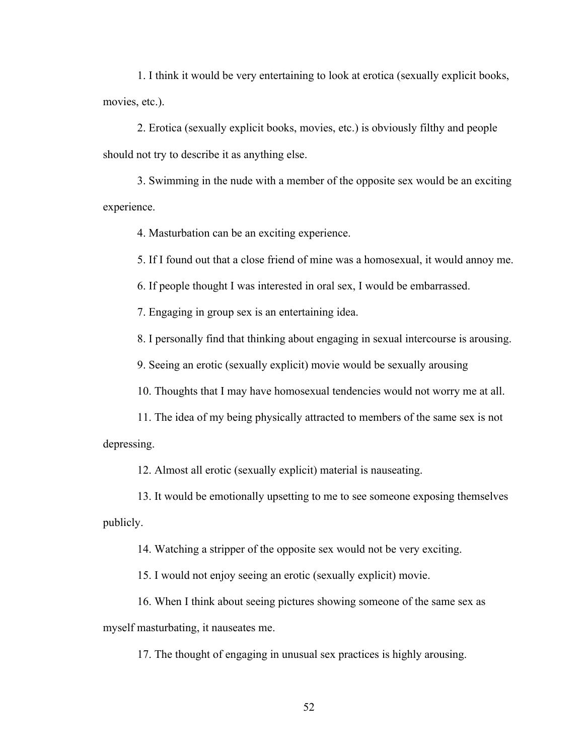1. I think it would be very entertaining to look at erotica (sexually explicit books, movies, etc.).

2. Erotica (sexually explicit books, movies, etc.) is obviously filthy and people should not try to describe it as anything else.

3. Swimming in the nude with a member of the opposite sex would be an exciting experience.

4. Masturbation can be an exciting experience.

5. If I found out that a close friend of mine was a homosexual, it would annoy me.

6. If people thought I was interested in oral sex, I would be embarrassed.

7. Engaging in group sex is an entertaining idea.

8. I personally find that thinking about engaging in sexual intercourse is arousing.

9. Seeing an erotic (sexually explicit) movie would be sexually arousing

10. Thoughts that I may have homosexual tendencies would not worry me at all.

11. The idea of my being physically attracted to members of the same sex is not depressing.

12. Almost all erotic (sexually explicit) material is nauseating.

13. It would be emotionally upsetting to me to see someone exposing themselves publicly.

14. Watching a stripper of the opposite sex would not be very exciting.

15. I would not enjoy seeing an erotic (sexually explicit) movie.

16. When I think about seeing pictures showing someone of the same sex as myself masturbating, it nauseates me.

17. The thought of engaging in unusual sex practices is highly arousing.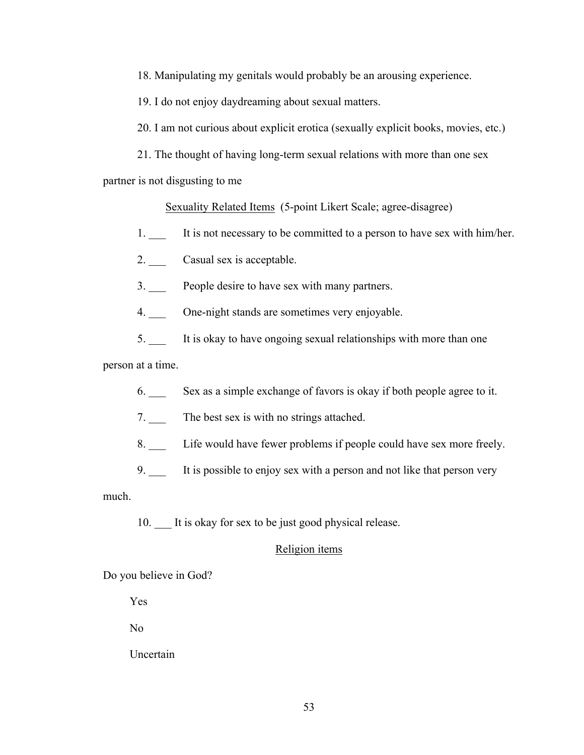18. Manipulating my genitals would probably be an arousing experience.

19. I do not enjoy daydreaming about sexual matters.

20. I am not curious about explicit erotica (sexually explicit books, movies, etc.)

21. The thought of having long-term sexual relations with more than one sex

partner is not disgusting to me

Sexuality Related Items (5-point Likert Scale; agree-disagree)

- 1. \_\_\_ It is not necessary to be committed to a person to have sex with him/her.
- 2. Casual sex is acceptable.
- 3. \_\_\_ People desire to have sex with many partners.
- 4. One-night stands are sometimes very enjoyable.
- 5. \_\_\_ It is okay to have ongoing sexual relationships with more than one

person at a time.

- 6. \_\_\_ Sex as a simple exchange of favors is okay if both people agree to it.
- 7. The best sex is with no strings attached.
- 8. Life would have fewer problems if people could have sex more freely.
- 9. \_\_\_ It is possible to enjoy sex with a person and not like that person very

much.

10. It is okay for sex to be just good physical release.

## Religion items

Do you believe in God?

Yes

No

Uncertain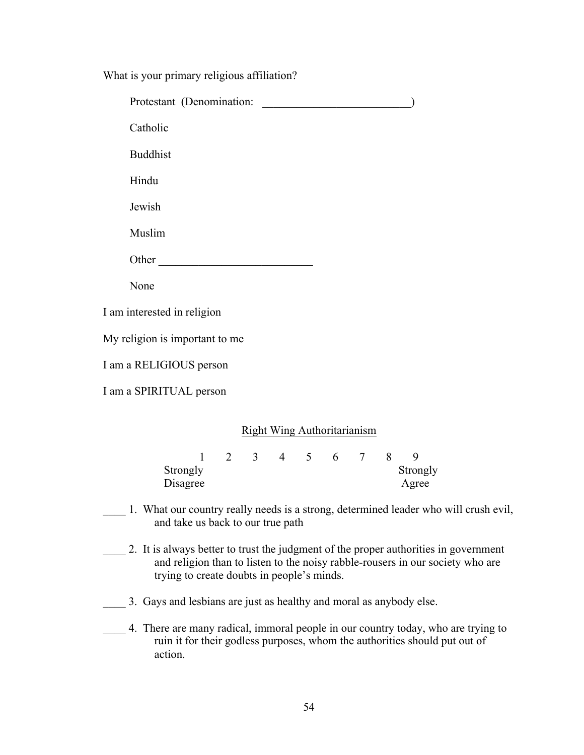What is your primary religious affiliation?

| Protestant (Denomination:            |   |                                    |                    |  |                 |               |                        |
|--------------------------------------|---|------------------------------------|--------------------|--|-----------------|---------------|------------------------|
| Catholic                             |   |                                    |                    |  |                 |               |                        |
| <b>Buddhist</b>                      |   |                                    |                    |  |                 |               |                        |
| Hindu                                |   |                                    |                    |  |                 |               |                        |
| Jewish                               |   |                                    |                    |  |                 |               |                        |
| Muslim                               |   |                                    |                    |  |                 |               |                        |
| Other                                |   |                                    |                    |  |                 |               |                        |
| None                                 |   |                                    |                    |  |                 |               |                        |
| I am interested in religion          |   |                                    |                    |  |                 |               |                        |
| My religion is important to me       |   |                                    |                    |  |                 |               |                        |
| I am a RELIGIOUS person              |   |                                    |                    |  |                 |               |                        |
| I am a SPIRITUAL person              |   |                                    |                    |  |                 |               |                        |
|                                      |   | <b>Right Wing Authoritarianism</b> |                    |  |                 |               |                        |
| $\mathbf{1}$<br>Strongly<br>Disagree | 2 |                                    | $3 \t 4 \t 5 \t 6$ |  | $7\overline{ }$ | 8             | 9<br>Strongly<br>Agree |
|                                      |   |                                    |                    |  |                 | $\sim$ $\sim$ |                        |

- \_\_\_\_ 1. What our country really needs is a strong, determined leader who will crush evil, and take us back to our true path
- \_\_\_\_ 2. It is always better to trust the judgment of the proper authorities in government and religion than to listen to the noisy rabble-rousers in our society who are trying to create doubts in people's minds.
- \_\_\_\_ 3. Gays and lesbians are just as healthy and moral as anybody else.
- \_\_\_\_ 4. There are many radical, immoral people in our country today, who are trying to ruin it for their godless purposes, whom the authorities should put out of action.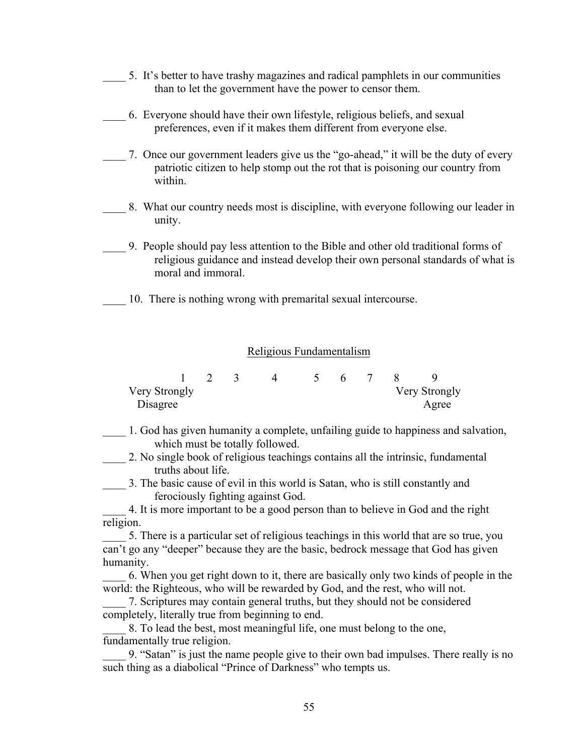- 5. It's better to have trashy magazines and radical pamphlets in our communities than to let the government have the power to censor them.
- \_\_\_\_ 6. Everyone should have their own lifestyle, religious beliefs, and sexual preferences, even if it makes them different from everyone else.
- \_\_\_\_ 7. Once our government leaders give us the "go-ahead," it will be the duty of every patriotic citizen to help stomp out the rot that is poisoning our country from within.
- 8. What our country needs most is discipline, with everyone following our leader in unity.
- \_\_\_\_ 9. People should pay less attention to the Bible and other old traditional forms of religious guidance and instead develop their own personal standards of what is moral and immoral.
- 10. There is nothing wrong with premarital sexual intercourse.

# Religious Fundamentalism

| Very Strongly |  |  |  |  | Very Strongly |
|---------------|--|--|--|--|---------------|
| Disagree      |  |  |  |  | Agree         |

\_\_\_\_ 1. God has given humanity a complete, unfailing guide to happiness and salvation, which must be totally followed.

\_\_\_\_ 2. No single book of religious teachings contains all the intrinsic, fundamental truths about life.

\_\_\_\_ 3. The basic cause of evil in this world is Satan, who is still constantly and ferociously fighting against God.

\_\_\_\_ 4. It is more important to be a good person than to believe in God and the right religion.

5. There is a particular set of religious teachings in this world that are so true, you can't go any "deeper" because they are the basic, bedrock message that God has given humanity.

\_\_\_\_ 6. When you get right down to it, there are basically only two kinds of people in the world: the Righteous, who will be rewarded by God, and the rest, who will not.

7. Scriptures may contain general truths, but they should not be considered completely, literally true from beginning to end.

\_\_\_\_ 8. To lead the best, most meaningful life, one must belong to the one, fundamentally true religion.

\_\_\_\_ 9. "Satan" is just the name people give to their own bad impulses. There really is no such thing as a diabolical "Prince of Darkness" who tempts us.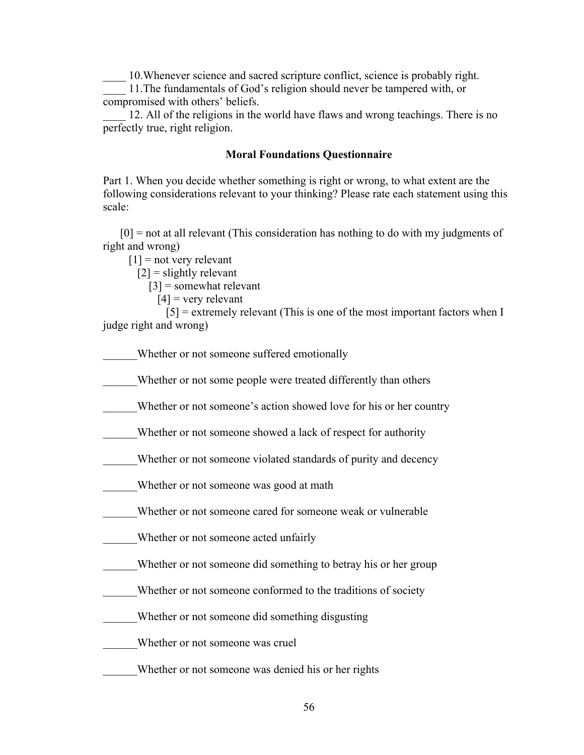\_\_\_\_ 10.Whenever science and sacred scripture conflict, science is probably right.

\_\_\_\_ 11.The fundamentals of God's religion should never be tampered with, or compromised with others' beliefs.

12. All of the religions in the world have flaws and wrong teachings. There is no perfectly true, right religion.

# **Moral Foundations Questionnaire**

Part 1. When you decide whether something is right or wrong, to what extent are the following considerations relevant to your thinking? Please rate each statement using this scale:

 [0] = not at all relevant (This consideration has nothing to do with my judgments of right and wrong)

 $[1]$  = not very relevant

 $[2]$  = slightly relevant

[3] = somewhat relevant

$$
[4]
$$
 = very relevant

 $[5]$  = extremely relevant (This is one of the most important factors when I judge right and wrong)

Whether or not someone suffered emotionally

Whether or not some people were treated differently than others

Whether or not someone's action showed love for his or her country

Whether or not someone showed a lack of respect for authority

Whether or not someone violated standards of purity and decency

Whether or not someone was good at math

Whether or not someone cared for someone weak or vulnerable

Whether or not someone acted unfairly

Whether or not someone did something to betray his or her group

Whether or not someone conformed to the traditions of society

\_\_\_\_\_\_Whether or not someone did something disgusting

\_\_\_\_\_\_Whether or not someone was cruel

Whether or not someone was denied his or her rights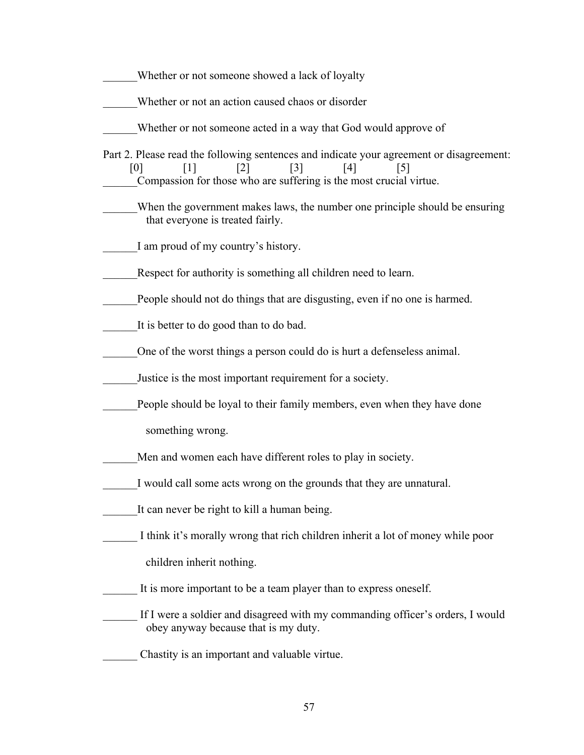- Whether or not someone showed a lack of loyalty
- Whether or not an action caused chaos or disorder
- Whether or not someone acted in a way that God would approve of
- Part 2. Please read the following sentences and indicate your agreement or disagreement:  $[0]$   $[1]$   $[2]$   $[3]$   $[4]$   $[5]$ \_\_\_\_\_\_Compassion for those who are suffering is the most crucial virtue.
- When the government makes laws, the number one principle should be ensuring that everyone is treated fairly.
	- I am proud of my country's history.
- Respect for authority is something all children need to learn.
- People should not do things that are disgusting, even if no one is harmed.
	- It is better to do good than to do bad.
- \_\_\_\_\_\_One of the worst things a person could do is hurt a defenseless animal.
- \_\_\_\_\_\_Justice is the most important requirement for a society.
- People should be loyal to their family members, even when they have done
	- something wrong.
- Men and women each have different roles to play in society.
- I would call some acts wrong on the grounds that they are unnatural.
- It can never be right to kill a human being.
- I think it's morally wrong that rich children inherit a lot of money while poor children inherit nothing.
- It is more important to be a team player than to express oneself.
- If I were a soldier and disagreed with my commanding officer's orders, I would obey anyway because that is my duty.
- \_\_\_\_\_\_ Chastity is an important and valuable virtue.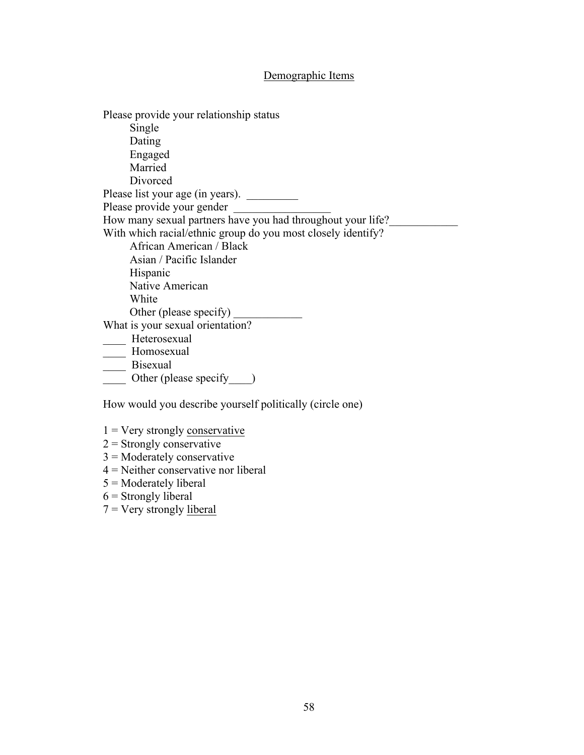# Demographic Items

Please provide your relationship status Single Dating Engaged Married Divorced Please list your age (in years). \_\_\_\_\_\_\_\_\_ Please provide your gender How many sexual partners have you had throughout your life? With which racial/ethnic group do you most closely identify? African American / Black Asian / Pacific Islander Hispanic Native American White Other (please specify) \_ What is your sexual orientation? \_\_\_\_ Heterosexual Homosexual \_\_\_\_ Bisexual Other (please specify )

How would you describe yourself politically (circle one)

- $1 =$  Very strongly conservative
- $2 =$ Strongly conservative
- 3 = Moderately conservative
- 4 = Neither conservative nor liberal
- 5 = Moderately liberal
- $6$  = Strongly liberal
- $7 =$  Very strongly liberal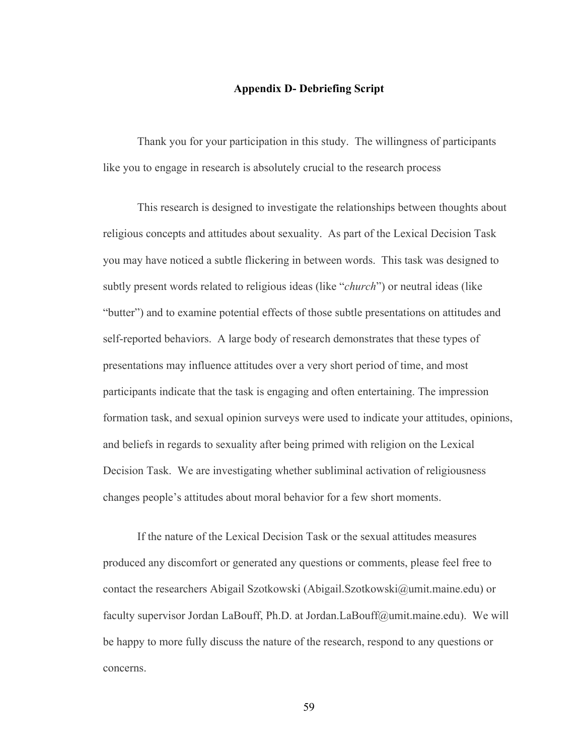## **Appendix D- Debriefing Script**

Thank you for your participation in this study. The willingness of participants like you to engage in research is absolutely crucial to the research process

This research is designed to investigate the relationships between thoughts about religious concepts and attitudes about sexuality. As part of the Lexical Decision Task you may have noticed a subtle flickering in between words. This task was designed to subtly present words related to religious ideas (like "*church*") or neutral ideas (like "butter") and to examine potential effects of those subtle presentations on attitudes and self-reported behaviors. A large body of research demonstrates that these types of presentations may influence attitudes over a very short period of time, and most participants indicate that the task is engaging and often entertaining. The impression formation task, and sexual opinion surveys were used to indicate your attitudes, opinions, and beliefs in regards to sexuality after being primed with religion on the Lexical Decision Task. We are investigating whether subliminal activation of religiousness changes people's attitudes about moral behavior for a few short moments.

If the nature of the Lexical Decision Task or the sexual attitudes measures produced any discomfort or generated any questions or comments, please feel free to contact the researchers Abigail Szotkowski (Abigail.Szotkowski@umit.maine.edu) or faculty supervisor Jordan LaBouff, Ph.D. at Jordan.LaBouff@umit.maine.edu). We will be happy to more fully discuss the nature of the research, respond to any questions or concerns.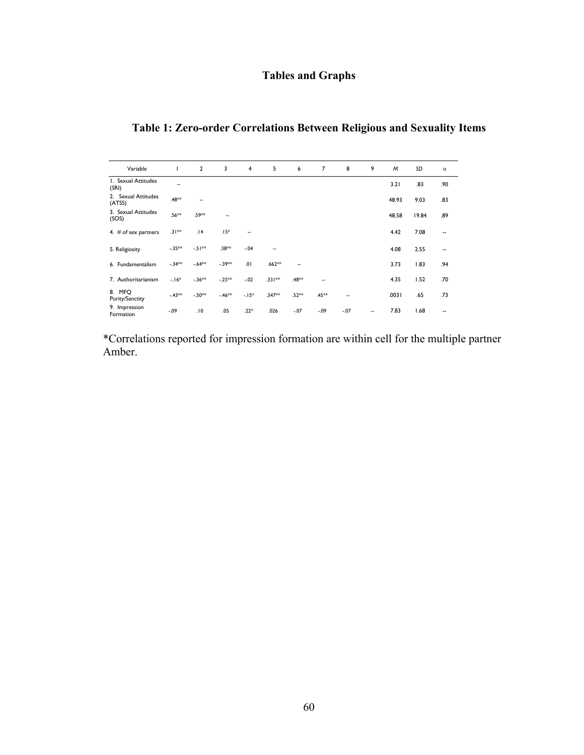# **Tables and Graphs**

# **Table 1: Zero-order Correlations Between Religious and Sexuality Items**

| Variable                         |          | $\overline{2}$ | 3       | 4                        | 5        | 6      | $\overline{7}$ | 8      | 9  | M     | SD    | $\alpha$                 |
|----------------------------------|----------|----------------|---------|--------------------------|----------|--------|----------------|--------|----|-------|-------|--------------------------|
| I. Sexual Attitudes<br>(SRI)     | $-$      |                |         |                          |          |        |                |        |    | 3.21  | .83   | .90                      |
| 2. Sexual Attitudes<br>(ATSS)    | .48**    | --             |         |                          |          |        |                |        |    | 48.93 | 9.03  | .83                      |
| 3. Sexual Attitudes<br>(SOS)     | .56**    | .59**          |         |                          |          |        |                |        |    | 48.58 | 19.84 | .89                      |
| 4. $#$ of sex partners           | $.31***$ | .14            | $.15*$  | $\overline{\phantom{a}}$ |          |        |                |        |    | 4.42  | 7.08  | $\overline{\phantom{a}}$ |
| 5. Religiosity                   | $-.35**$ | $-51**$        | .38**   | $-.04$                   | ۰.       |        |                |        |    | 4.08  | 2.55  | --                       |
| 6. Fundamentalism                | $-34**$  | $-64**$        | $-39**$ | .01                      | $.662**$ | ٠.     |                |        |    | 3.73  | 1.83  | .94                      |
| 7. Authoritarianism              | $-16*$   | $-.36***$      | $-25**$ | $-.02$                   | $.331**$ | .48**  | --             |        |    | 4.35  | 1.52  | .70                      |
| 8. MFQ<br><b>Purity/Sanctity</b> | $-43**$  | $-.50**$       | $-46**$ | $-15*$                   | .347**   | .52**  | .45**          | ۰.     |    | .0031 | .65   | .73                      |
| 9. Impression<br>Formation       | $-.09$   | .10            | .05     | $.22*$                   | .026     | $-.07$ | $-.09$         | $-.07$ | ٠. | 7.83  | 1.68  | --                       |

\*Correlations reported for impression formation are within cell for the multiple partner Amber.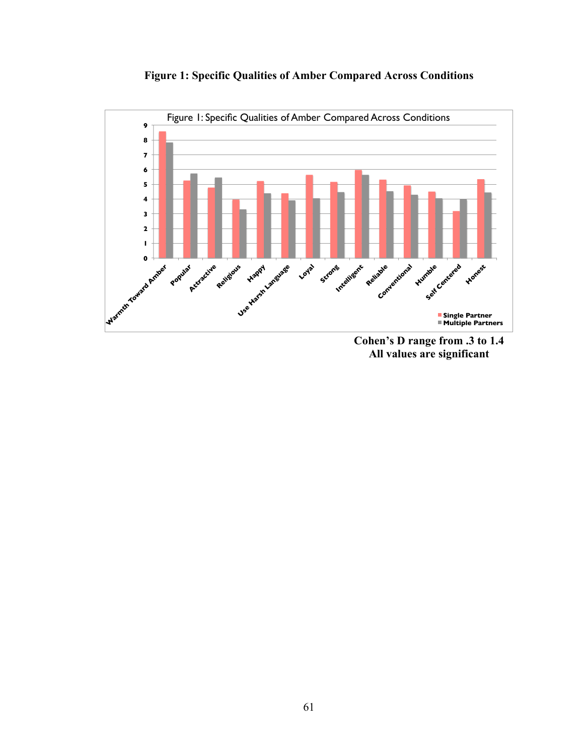



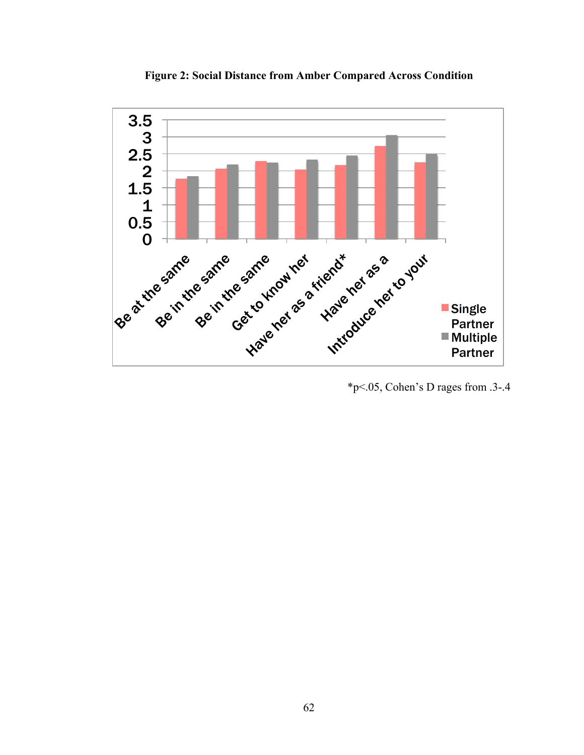

**Figure 2: Social Distance from Amber Compared Across Condition**

\*p<.05, Cohen's D rages from .3-.4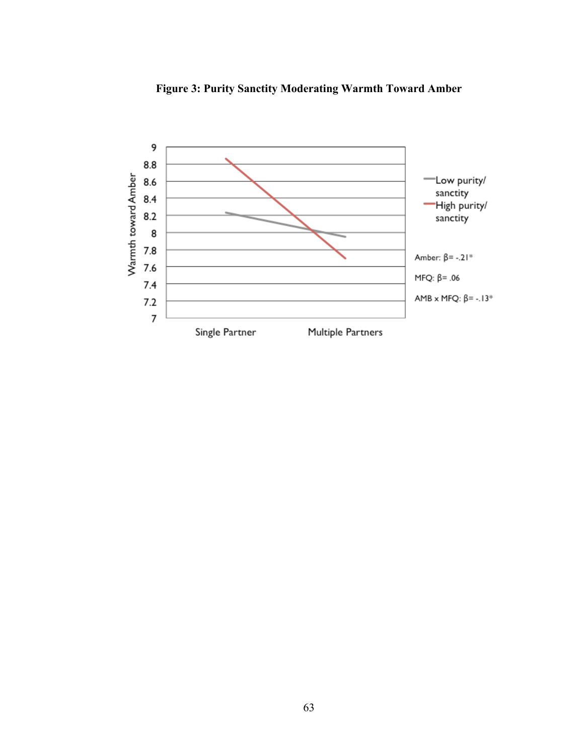

**Figure 3: Purity Sanctity Moderating Warmth Toward Amber**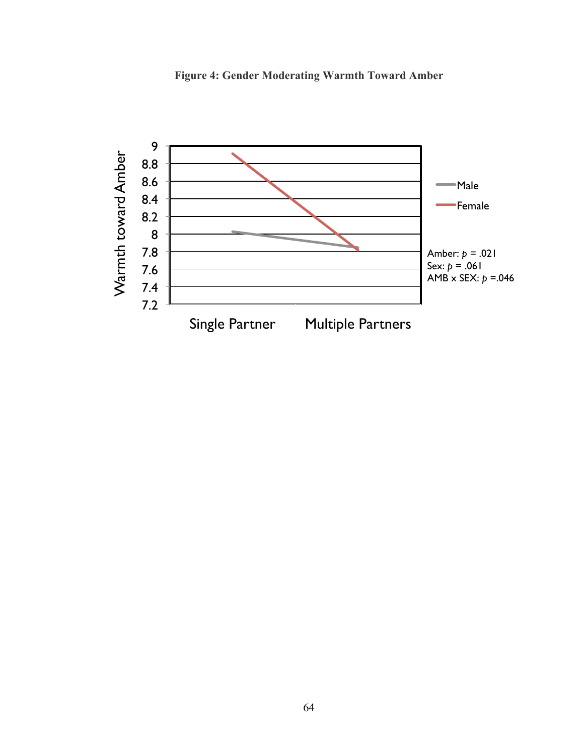

**Figure 4: Gender Moderating Warmth Toward Amber**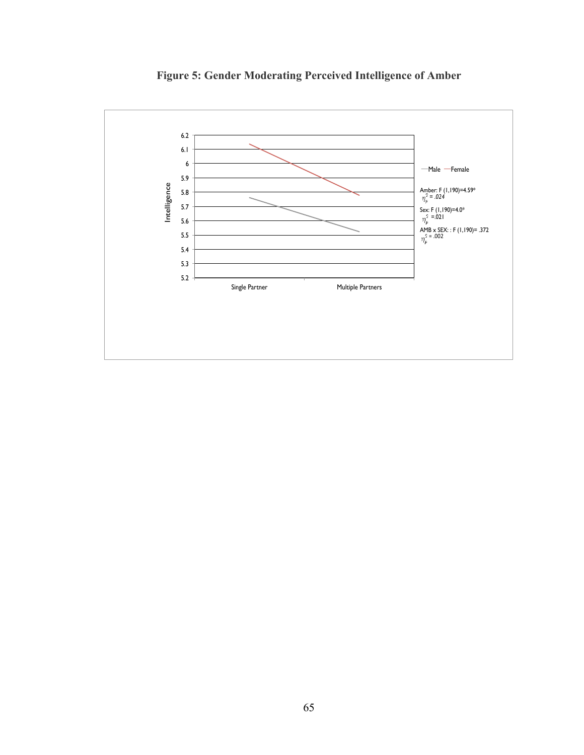

**Figure 5: Gender Moderating Perceived Intelligence of Amber**